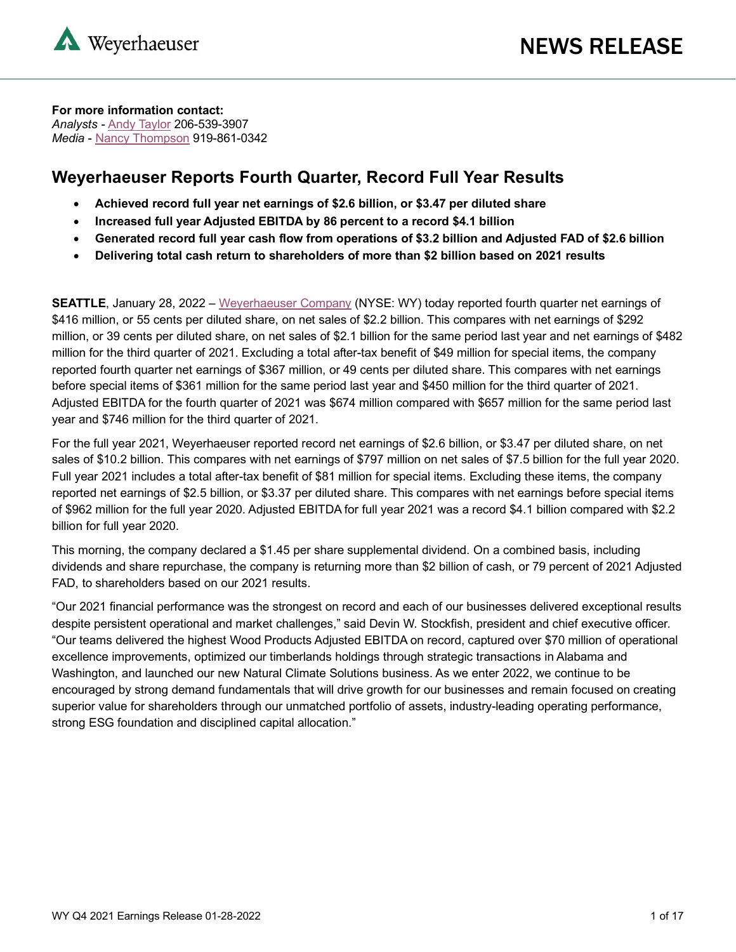

**For more information contact:** *Analysts -* [Andy Taylor](mailto:andy.taylor@weyerhaeuser.com) 206-539-3907 *Media* - [Nancy Thompson](mailto:nancy.thompson@weyerhaeuser.com) 919-861-0342

# **Weyerhaeuser Reports Fourth Quarter, Record Full Year Results**

- **Achieved record full year net earnings of \$2.6 billion, or \$3.47 per diluted share**
- **Increased full year Adjusted EBITDA by 86 percent to a record \$4.1 billion**
- **Generated record full year cash flow from operations of \$3.2 billion and Adjusted FAD of \$2.6 billion**
- **Delivering total cash return to shareholders of more than \$2 billion based on 2021 results**

**SEATTLE**, January 28, 2022 – [Weyerhaeuser Company](https://www.weyerhaeuser.com/) (NYSE: WY) today reported fourth quarter net earnings of \$416 million, or 55 cents per diluted share, on net sales of \$2.2 billion. This compares with net earnings of \$292 million, or 39 cents per diluted share, on net sales of \$2.1 billion for the same period last year and net earnings of \$482 million for the third quarter of 2021. Excluding a total after-tax benefit of \$49 million for special items, the company reported fourth quarter net earnings of \$367 million, or 49 cents per diluted share. This compares with net earnings before special items of \$361 million for the same period last year and \$450 million for the third quarter of 2021. Adjusted EBITDA for the fourth quarter of 2021 was \$674 million compared with \$657 million for the same period last year and \$746 million for the third quarter of 2021.

For the full year 2021, Weyerhaeuser reported record net earnings of \$2.6 billion, or \$3.47 per diluted share, on net sales of \$10.2 billion. This compares with net earnings of \$797 million on net sales of \$7.5 billion for the full year 2020. Full year 2021 includes a total after-tax benefit of \$81 million for special items. Excluding these items, the company reported net earnings of \$2.5 billion, or \$3.37 per diluted share. This compares with net earnings before special items of \$962 million for the full year 2020. Adjusted EBITDA for full year 2021 was a record \$4.1 billion compared with \$2.2 billion for full year 2020.

This morning, the company declared a \$1.45 per share supplemental dividend. On a combined basis, including dividends and share repurchase, the company is returning more than \$2 billion of cash, or 79 percent of 2021 Adjusted FAD, to shareholders based on our 2021 results.

"Our 2021 financial performance was the strongest on record and each of our businesses delivered exceptional results despite persistent operational and market challenges," said Devin W. Stockfish, president and chief executive officer. "Our teams delivered the highest Wood Products Adjusted EBITDA on record, captured over \$70 million of operational excellence improvements, optimized our timberlands holdings through strategic transactions in Alabama and Washington, and launched our new Natural Climate Solutions business. As we enter 2022, we continue to be encouraged by strong demand fundamentals that will drive growth for our businesses and remain focused on creating superior value for shareholders through our unmatched portfolio of assets, industry-leading operating performance, strong ESG foundation and disciplined capital allocation."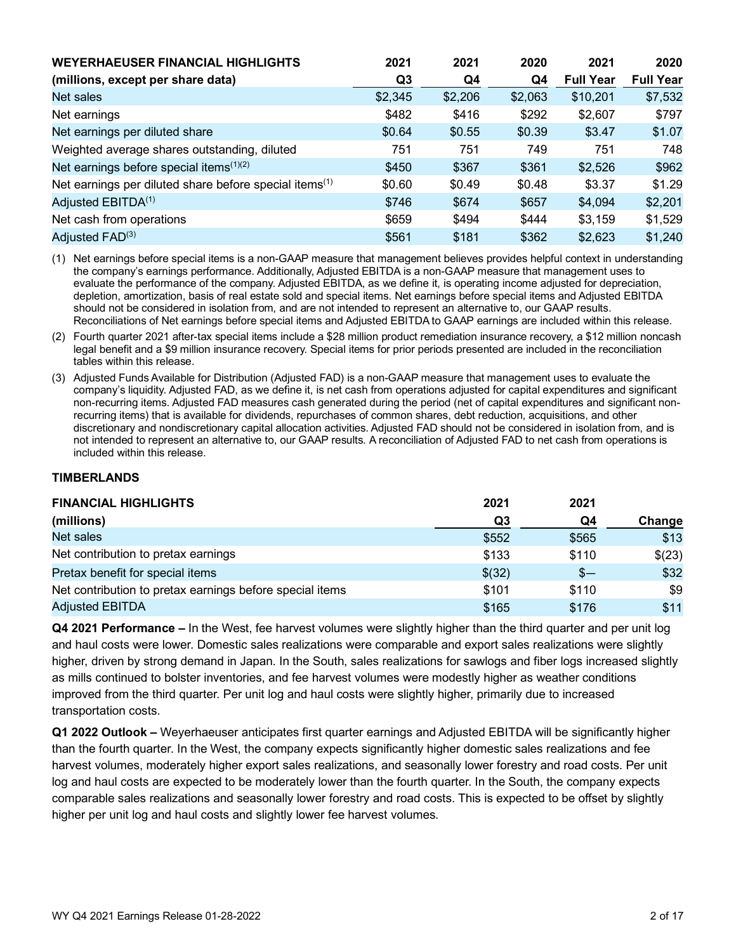| <b>WEYERHAEUSER FINANCIAL HIGHLIGHTS</b>                           | 2021           | 2021    | 2020    | 2021             | 2020             |
|--------------------------------------------------------------------|----------------|---------|---------|------------------|------------------|
| (millions, except per share data)                                  | Q <sub>3</sub> | Q4      | Q4      | <b>Full Year</b> | <b>Full Year</b> |
| Net sales                                                          | \$2,345        | \$2,206 | \$2,063 | \$10,201         | \$7,532          |
| Net earnings                                                       | \$482          | \$416   | \$292   | \$2,607          | \$797            |
| Net earnings per diluted share                                     | \$0.64         | \$0.55  | \$0.39  | \$3.47           | \$1.07           |
| Weighted average shares outstanding, diluted                       | 751            | 751     | 749     | 751              | 748              |
| Net earnings before special items $(1)(2)$                         | \$450          | \$367   | \$361   | \$2,526          | \$962            |
| Net earnings per diluted share before special items <sup>(1)</sup> | \$0.60         | \$0.49  | \$0.48  | \$3.37           | \$1.29           |
| Adjusted EBITDA <sup>(1)</sup>                                     | \$746          | \$674   | \$657   | \$4,094          | \$2,201          |
| Net cash from operations                                           | \$659          | \$494   | \$444   | \$3,159          | \$1,529          |
| Adjusted FAD <sup>(3)</sup>                                        | \$561          | \$181   | \$362   | \$2,623          | \$1,240          |

(1) Net earnings before special items is a non-GAAP measure that management believes provides helpful context in understanding the company's earnings performance. Additionally, Adjusted EBITDA is a non-GAAP measure that management uses to evaluate the performance of the company. Adjusted EBITDA, as we define it, is operating income adjusted for depreciation, depletion, amortization, basis of real estate sold and special items. Net earnings before special items and Adjusted EBITDA should not be considered in isolation from, and are not intended to represent an alternative to, our GAAP results. Reconciliations of Net earnings before special items and Adjusted EBITDA to GAAP earnings are included within this release.

(2) Fourth quarter 2021 after-tax special items include a \$28 million product remediation insurance recovery, a \$12 million noncash legal benefit and a \$9 million insurance recovery. Special items for prior periods presented are included in the reconciliation tables within this release.

(3) Adjusted Funds Available for Distribution (Adjusted FAD) is a non-GAAP measure that management uses to evaluate the company's liquidity. Adjusted FAD, as we define it, is net cash from operations adjusted for capital expenditures and significant non-recurring items. Adjusted FAD measures cash generated during the period (net of capital expenditures and significant nonrecurring items) that is available for dividends, repurchases of common shares, debt reduction, acquisitions, and other discretionary and nondiscretionary capital allocation activities. Adjusted FAD should not be considered in isolation from, and is not intended to represent an alternative to, our GAAP results. A reconciliation of Adjusted FAD to net cash from operations is included within this release.

## **TIMBERLANDS**

| <b>FINANCIAL HIGHLIGHTS</b>                              | 2021   | 2021  |        |
|----------------------------------------------------------|--------|-------|--------|
| (millions)                                               | Q3     | Q4    | Change |
| Net sales                                                | \$552  | \$565 | \$13   |
| Net contribution to pretax earnings                      | \$133  | \$110 | \$(23) |
| Pretax benefit for special items                         | \$(32) | $S -$ | \$32   |
| Net contribution to pretax earnings before special items | \$101  | \$110 | \$9    |
| <b>Adjusted EBITDA</b>                                   | \$165  | \$176 | \$11   |

**Q4 2021 Performance –** In the West, fee harvest volumes were slightly higher than the third quarter and per unit log and haul costs were lower. Domestic sales realizations were comparable and export sales realizations were slightly higher, driven by strong demand in Japan. In the South, sales realizations for sawlogs and fiber logs increased slightly as mills continued to bolster inventories, and fee harvest volumes were modestly higher as weather conditions improved from the third quarter. Per unit log and haul costs were slightly higher, primarily due to increased transportation costs.

**Q1 2022 Outlook –** Weyerhaeuser anticipates first quarter earnings and Adjusted EBITDA will be significantly higher than the fourth quarter. In the West, the company expects significantly higher domestic sales realizations and fee harvest volumes, moderately higher export sales realizations, and seasonally lower forestry and road costs. Per unit log and haul costs are expected to be moderately lower than the fourth quarter. In the South, the company expects comparable sales realizations and seasonally lower forestry and road costs. This is expected to be offset by slightly higher per unit log and haul costs and slightly lower fee harvest volumes.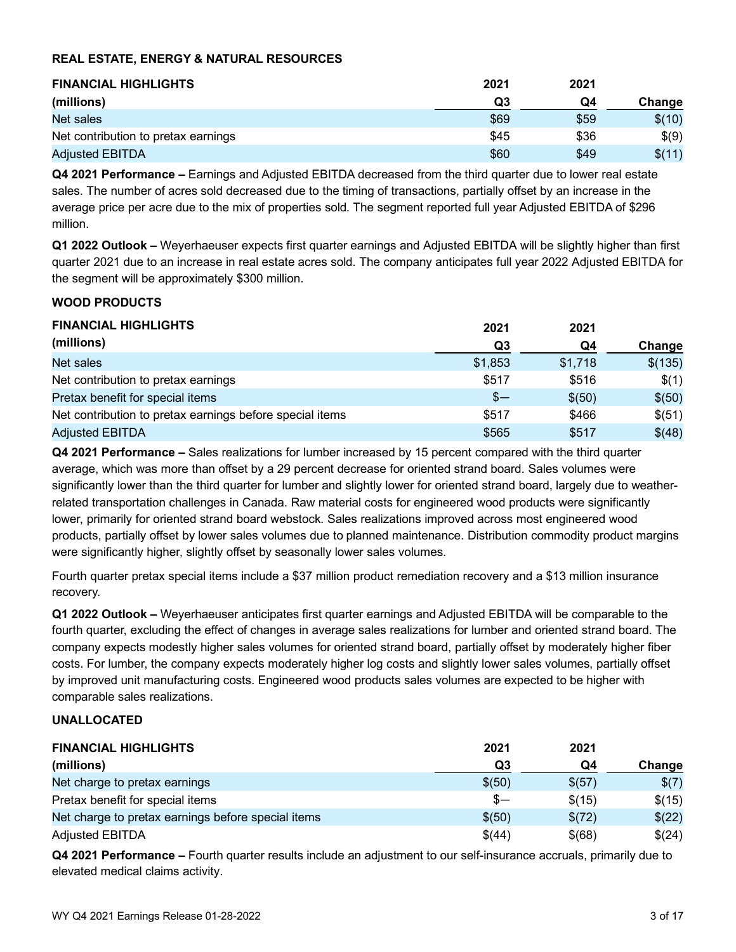## **REAL ESTATE, ENERGY & NATURAL RESOURCES**

| <b>FINANCIAL HIGHLIGHTS</b>         | 2021 | 2021 |        |
|-------------------------------------|------|------|--------|
| (millions)                          | Q3   | Q4   | Change |
| Net sales                           | \$69 | \$59 | \$(10) |
| Net contribution to pretax earnings | \$45 | \$36 | \$(9)  |
| <b>Adjusted EBITDA</b>              | \$60 | \$49 | \$(11) |

**Q4 2021 Performance –** Earnings and Adjusted EBITDA decreased from the third quarter due to lower real estate sales. The number of acres sold decreased due to the timing of transactions, partially offset by an increase in the average price per acre due to the mix of properties sold. The segment reported full year Adjusted EBITDA of \$296 million.

**Q1 2022 Outlook –** Weyerhaeuser expects first quarter earnings and Adjusted EBITDA will be slightly higher than first quarter 2021 due to an increase in real estate acres sold. The company anticipates full year 2022 Adjusted EBITDA for the segment will be approximately \$300 million.

## **WOOD PRODUCTS**

| <b>FINANCIAL HIGHLIGHTS</b>                              | 2021    | 2021    |         |
|----------------------------------------------------------|---------|---------|---------|
| (millions)                                               | Q3      | Q4      | Change  |
| Net sales                                                | \$1,853 | \$1,718 | \$(135) |
| Net contribution to pretax earnings                      | \$517   | \$516   | \$(1)   |
| Pretax benefit for special items                         | $s-$    | \$(50)  | \$(50)  |
| Net contribution to pretax earnings before special items | \$517   | \$466   | \$(51)  |
| <b>Adjusted EBITDA</b>                                   | \$565   | \$517   | \$(48)  |

**Q4 2021 Performance –** Sales realizations for lumber increased by 15 percent compared with the third quarter average, which was more than offset by a 29 percent decrease for oriented strand board. Sales volumes were significantly lower than the third quarter for lumber and slightly lower for oriented strand board, largely due to weatherrelated transportation challenges in Canada. Raw material costs for engineered wood products were significantly lower, primarily for oriented strand board webstock. Sales realizations improved across most engineered wood products, partially offset by lower sales volumes due to planned maintenance. Distribution commodity product margins were significantly higher, slightly offset by seasonally lower sales volumes.

Fourth quarter pretax special items include a \$37 million product remediation recovery and a \$13 million insurance recovery.

**Q1 2022 Outlook –** Weyerhaeuser anticipates first quarter earnings and Adjusted EBITDA will be comparable to the fourth quarter, excluding the effect of changes in average sales realizations for lumber and oriented strand board. The company expects modestly higher sales volumes for oriented strand board, partially offset by moderately higher fiber costs. For lumber, the company expects moderately higher log costs and slightly lower sales volumes, partially offset by improved unit manufacturing costs. Engineered wood products sales volumes are expected to be higher with comparable sales realizations.

## **UNALLOCATED**

| <b>FINANCIAL HIGHLIGHTS</b>                        | 2021   | 2021   |        |
|----------------------------------------------------|--------|--------|--------|
| (millions)                                         | Q3     | Q4     | Change |
| Net charge to pretax earnings                      | \$(50) | \$(57) | \$(7)  |
| Pretax benefit for special items                   | $s-$   | \$(15) | \$(15) |
| Net charge to pretax earnings before special items | \$(50) | \$(72) | \$(22) |
| <b>Adjusted EBITDA</b>                             | \$(44) | \$(68) | \$(24) |

**Q4 2021 Performance –** Fourth quarter results include an adjustment to our self-insurance accruals, primarily due to elevated medical claims activity.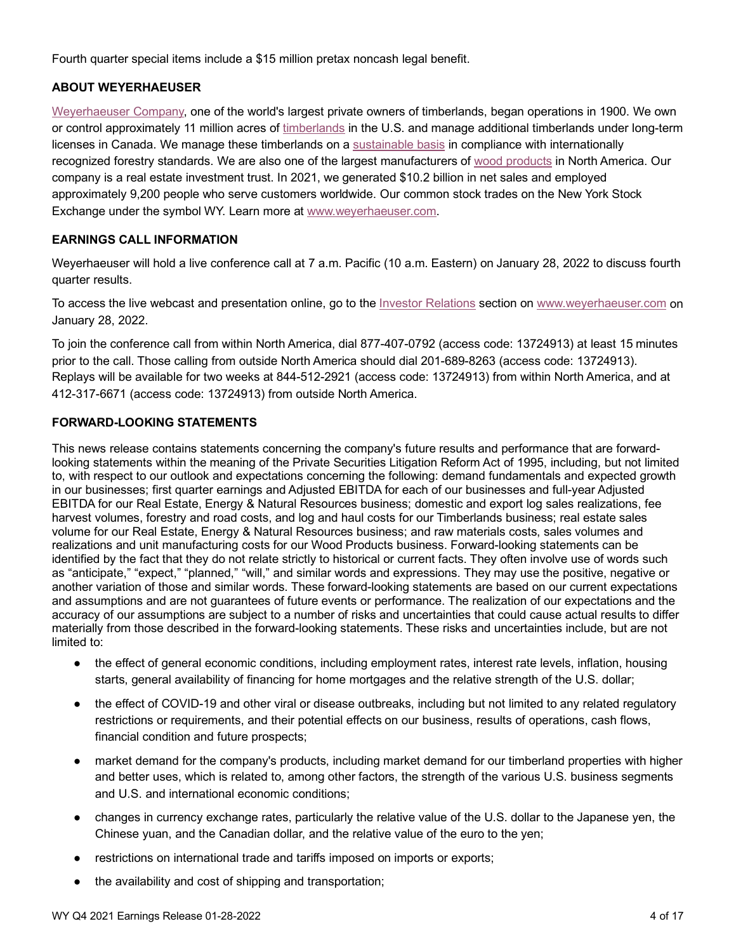Fourth quarter special items include a \$15 million pretax noncash legal benefit.

## **ABOUT WEYERHAEUSER**

[Weyerhaeuser Company,](https://www.weyerhaeuser.com/) one of the world's largest private owners of timberlands, began operations in 1900. We own or control approximately 11 million acres of [timberlands](https://www.weyerhaeuser.com/timberlands/) in the U.S. and manage additional timberlands under long-term licenses in Canada. We manage these timberlands on [a sustainable](https://www.weyerhaeuser.com/sustainability/) basis in compliance with internationally recognized forestry standards. We are also one of the largest manufacturers of [wood products](https://www.weyerhaeuser.com/woodproducts/) in North America. Our company is a real estate investment trust. In 2021, we generated \$10.2 billion in net sales and employed approximately 9,200 people who serve customers worldwide. Our common stock trades on the New York Stock Exchange under the symbol WY. Learn more at [www.weyerhaeuser.com.](https://www.weyerhaeuser.com/)

## **EARNINGS CALL INFORMATION**

Weyerhaeuser will hold a live conference call at 7 a.m. Pacific (10 a.m. Eastern) on January 28, 2022 to discuss fourth quarter results.

To access the live webcast and presentation online, go to th[e Investor Relations](http://investor.weyerhaeuser.com/) section on [www.weyerhaeuser.com](https://www.weyerhaeuser.com/) on January 28, 2022.

To join the conference call from within North America, dial 877-407-0792 (access code: 13724913) at least 15 minutes prior to the call. Those calling from outside North America should dial 201-689-8263 (access code: 13724913). Replays will be available for two weeks at 844-512-2921 (access code: 13724913) from within North America, and at 412-317-6671 (access code: 13724913) from outside North America.

## **FORWARD-LOOKING STATEMENTS**

This news release contains statements concerning the company's future results and performance that are forwardlooking statements within the meaning of the Private Securities Litigation Reform Act of 1995, including, but not limited to, with respect to our outlook and expectations concerning the following: demand fundamentals and expected growth in our businesses; first quarter earnings and Adjusted EBITDA for each of our businesses and full-year Adjusted EBITDA for our Real Estate, Energy & Natural Resources business; domestic and export log sales realizations, fee harvest volumes, forestry and road costs, and log and haul costs for our Timberlands business; real estate sales volume for our Real Estate, Energy & Natural Resources business; and raw materials costs, sales volumes and realizations and unit manufacturing costs for our Wood Products business. Forward-looking statements can be identified by the fact that they do not relate strictly to historical or current facts. They often involve use of words such as "anticipate," "expect," "planned," "will," and similar words and expressions. They may use the positive, negative or another variation of those and similar words. These forward-looking statements are based on our current expectations and assumptions and are not guarantees of future events or performance. The realization of our expectations and the accuracy of our assumptions are subject to a number of risks and uncertainties that could cause actual results to differ materially from those described in the forward-looking statements. These risks and uncertainties include, but are not limited to:

- the effect of general economic conditions, including employment rates, interest rate levels, inflation, housing starts, general availability of financing for home mortgages and the relative strength of the U.S. dollar;
- the effect of COVID-19 and other viral or disease outbreaks, including but not limited to any related regulatory restrictions or requirements, and their potential effects on our business, results of operations, cash flows, financial condition and future prospects;
- market demand for the company's products, including market demand for our timberland properties with higher and better uses, which is related to, among other factors, the strength of the various U.S. business segments and U.S. and international economic conditions;
- changes in currency exchange rates, particularly the relative value of the U.S. dollar to the Japanese yen, the Chinese yuan, and the Canadian dollar, and the relative value of the euro to the yen;
- restrictions on international trade and tariffs imposed on imports or exports;
- the availability and cost of shipping and transportation;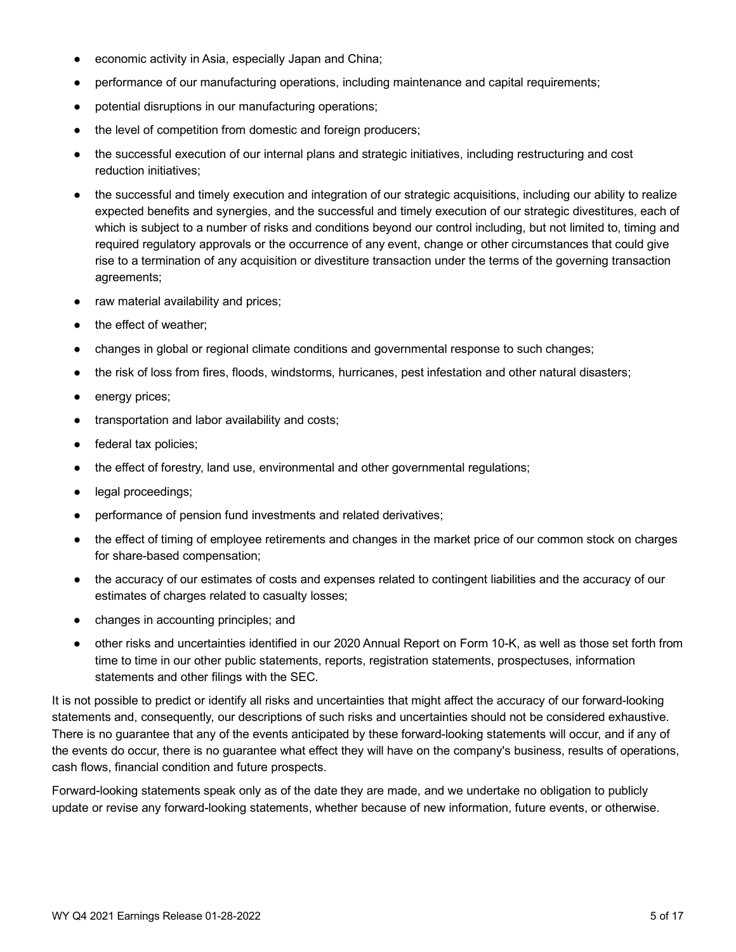- economic activity in Asia, especially Japan and China;
- performance of our manufacturing operations, including maintenance and capital requirements;
- potential disruptions in our manufacturing operations;
- the level of competition from domestic and foreign producers;
- the successful execution of our internal plans and strategic initiatives, including restructuring and cost reduction initiatives;
- the successful and timely execution and integration of our strategic acquisitions, including our ability to realize expected benefits and synergies, and the successful and timely execution of our strategic divestitures, each of which is subject to a number of risks and conditions beyond our control including, but not limited to, timing and required regulatory approvals or the occurrence of any event, change or other circumstances that could give rise to a termination of any acquisition or divestiture transaction under the terms of the governing transaction agreements;
- raw material availability and prices;
- the effect of weather;
- changes in global or regional climate conditions and governmental response to such changes;
- the risk of loss from fires, floods, windstorms, hurricanes, pest infestation and other natural disasters;
- energy prices;
- transportation and labor availability and costs;
- federal tax policies;
- the effect of forestry, land use, environmental and other governmental regulations;
- legal proceedings;
- performance of pension fund investments and related derivatives;
- the effect of timing of employee retirements and changes in the market price of our common stock on charges for share-based compensation;
- the accuracy of our estimates of costs and expenses related to contingent liabilities and the accuracy of our estimates of charges related to casualty losses;
- changes in accounting principles; and
- other risks and uncertainties identified in our 2020 Annual Report on Form 10-K, as well as those set forth from time to time in our other public statements, reports, registration statements, prospectuses, information statements and other filings with the SEC.

It is not possible to predict or identify all risks and uncertainties that might affect the accuracy of our forward-looking statements and, consequently, our descriptions of such risks and uncertainties should not be considered exhaustive. There is no guarantee that any of the events anticipated by these forward-looking statements will occur, and if any of the events do occur, there is no guarantee what effect they will have on the company's business, results of operations, cash flows, financial condition and future prospects.

Forward-looking statements speak only as of the date they are made, and we undertake no obligation to publicly update or revise any forward-looking statements, whether because of new information, future events, or otherwise.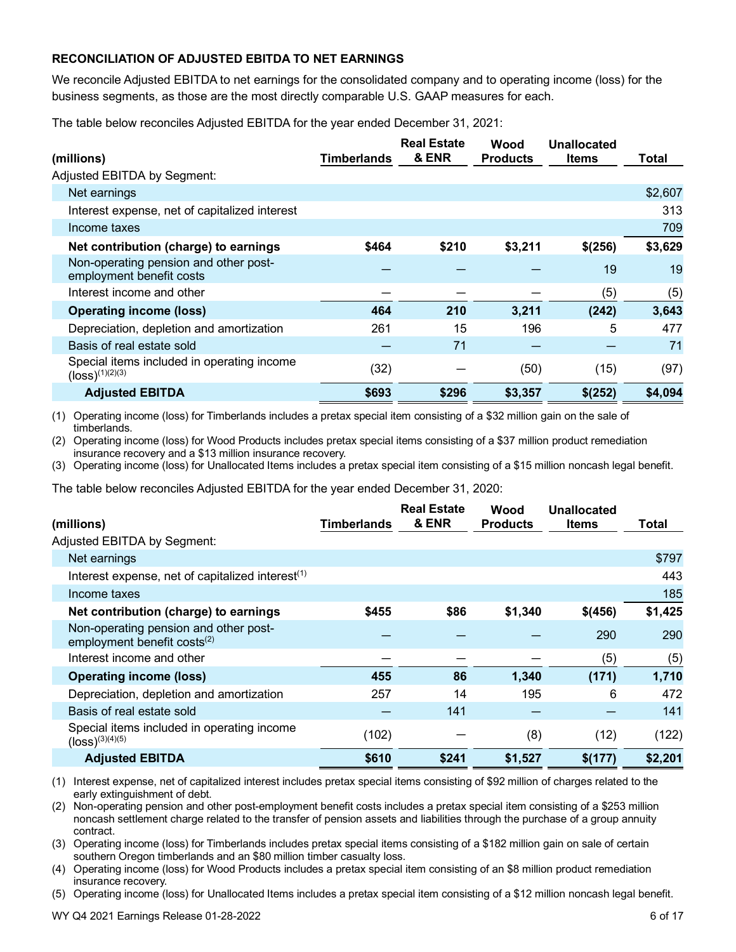## **RECONCILIATION OF ADJUSTED EBITDA TO NET EARNINGS**

We reconcile Adjusted EBITDA to net earnings for the consolidated company and to operating income (loss) for the business segments, as those are the most directly comparable U.S. GAAP measures for each.

The table below reconciles Adjusted EBITDA for the year ended December 31, 2021:

| (millions)                                                                  | Timberlands | <b>Real Estate</b><br>& ENR | Wood<br><b>Products</b> | Unallocated<br><b>Items</b> | Total   |
|-----------------------------------------------------------------------------|-------------|-----------------------------|-------------------------|-----------------------------|---------|
| Adjusted EBITDA by Segment:                                                 |             |                             |                         |                             |         |
| Net earnings                                                                |             |                             |                         |                             | \$2,607 |
| Interest expense, net of capitalized interest                               |             |                             |                         |                             | 313     |
| Income taxes                                                                |             |                             |                         |                             | 709     |
| Net contribution (charge) to earnings                                       | \$464       | \$210                       | \$3,211                 | \$(256)                     | \$3,629 |
| Non-operating pension and other post-<br>employment benefit costs           |             |                             |                         | 19                          | 19      |
| Interest income and other                                                   |             |                             |                         | (5)                         | (5)     |
| <b>Operating income (loss)</b>                                              | 464         | 210                         | 3,211                   | (242)                       | 3,643   |
| Depreciation, depletion and amortization                                    | 261         | 15                          | 196                     | 5                           | 477     |
| Basis of real estate sold                                                   |             | 71                          |                         |                             | 71      |
| Special items included in operating income<br>$(logs)$ <sup>(1)(2)(3)</sup> | (32)        |                             | (50)                    | (15)                        | (97)    |
| <b>Adjusted EBITDA</b>                                                      | \$693       | \$296                       | \$3,357                 | \$(252)                     | \$4,094 |

(1) Operating income (loss) for Timberlands includes a pretax special item consisting of a \$32 million gain on the sale of timberlands.

(2) Operating income (loss) for Wood Products includes pretax special items consisting of a \$37 million product remediation insurance recovery and a \$13 million insurance recovery.

(3) Operating income (loss) for Unallocated Items includes a pretax special item consisting of a \$15 million noncash legal benefit.

The table below reconciles Adjusted EBITDA for the year ended December 31, 2020:

| (millions)                                                                       | Timberlands | <b>Real Estate</b><br>& ENR | Wood<br><b>Products</b> | Unallocated<br><b>Items</b> | Total   |
|----------------------------------------------------------------------------------|-------------|-----------------------------|-------------------------|-----------------------------|---------|
| Adjusted EBITDA by Segment:                                                      |             |                             |                         |                             |         |
| Net earnings                                                                     |             |                             |                         |                             | \$797   |
| Interest expense, net of capitalized interest(1)                                 |             |                             |                         |                             | 443     |
| Income taxes                                                                     |             |                             |                         |                             | 185     |
| Net contribution (charge) to earnings                                            | \$455       | \$86                        | \$1,340                 | \$(456)                     | \$1,425 |
| Non-operating pension and other post-<br>employment benefit costs <sup>(2)</sup> |             |                             |                         | 290                         | 290     |
| Interest income and other                                                        |             |                             |                         | (5)                         | (5)     |
| <b>Operating income (loss)</b>                                                   | 455         | 86                          | 1,340                   | (171)                       | 1,710   |
| Depreciation, depletion and amortization                                         | 257         | 14                          | 195                     | 6                           | 472     |
| Basis of real estate sold                                                        |             | 141                         |                         |                             | 141     |
| Special items included in operating income<br>$(logs)$ <sup>(3)(4)(5)</sup>      | (102)       |                             | (8)                     | (12)                        | (122)   |
| <b>Adjusted EBITDA</b>                                                           | \$610       | \$241                       | \$1,527                 | \$(177)                     | \$2,201 |

(1) Interest expense, net of capitalized interest includes pretax special items consisting of \$92 million of charges related to the early extinguishment of debt.

(2) Non-operating pension and other post-employment benefit costs includes a pretax special item consisting of a \$253 million noncash settlement charge related to the transfer of pension assets and liabilities through the purchase of a group annuity contract.

(3) Operating income (loss) for Timberlands includes pretax special items consisting of a \$182 million gain on sale of certain southern Oregon timberlands and an \$80 million timber casualty loss.

(4) Operating income (loss) for Wood Products includes a pretax special item consisting of an \$8 million product remediation insurance recovery.

(5) Operating income (loss) for Unallocated Items includes a pretax special item consisting of a \$12 million noncash legal benefit.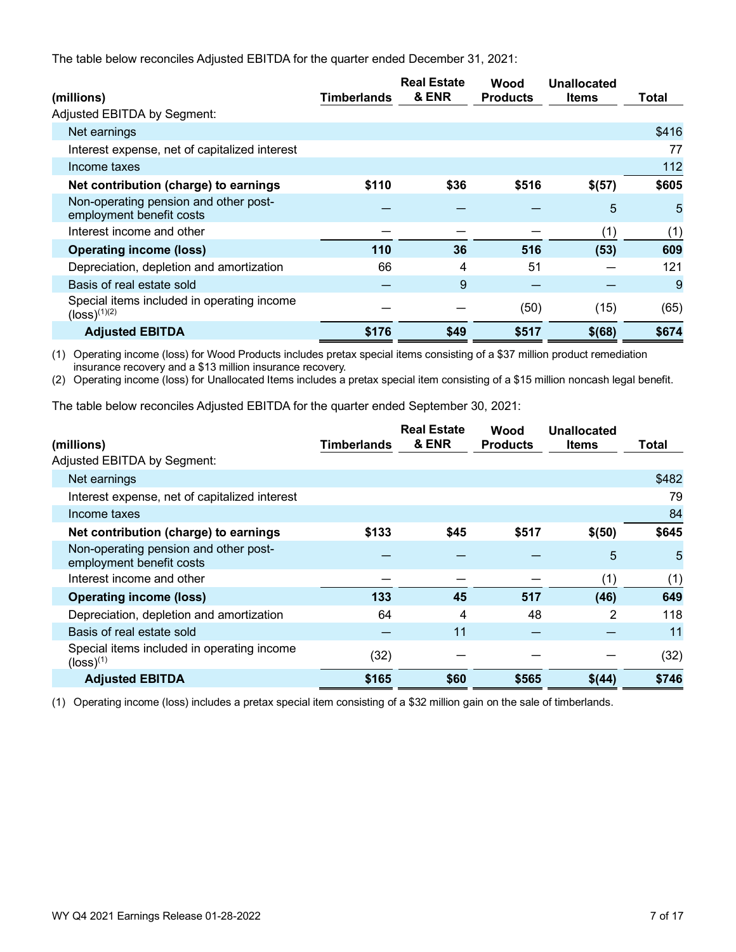The table below reconciles Adjusted EBITDA for the quarter ended December 31, 2021:

| (millions)                                                               | Timberlands | <b>Real Estate</b><br>& ENR | Wood<br><b>Products</b> | Unallocated<br><b>Items</b> | Total |
|--------------------------------------------------------------------------|-------------|-----------------------------|-------------------------|-----------------------------|-------|
| Adjusted EBITDA by Segment:                                              |             |                             |                         |                             |       |
| Net earnings                                                             |             |                             |                         |                             | \$416 |
| Interest expense, net of capitalized interest                            |             |                             |                         |                             | 77    |
| Income taxes                                                             |             |                             |                         |                             | 112   |
| Net contribution (charge) to earnings                                    | \$110       | \$36                        | \$516                   | \$(57)                      | \$605 |
| Non-operating pension and other post-<br>employment benefit costs        |             |                             |                         | 5                           | 5     |
| Interest income and other                                                |             |                             |                         | (1)                         | (1)   |
| <b>Operating income (loss)</b>                                           | 110         | 36                          | 516                     | (53)                        | 609   |
| Depreciation, depletion and amortization                                 | 66          | 4                           | 51                      |                             | 121   |
| Basis of real estate sold                                                |             | 9                           |                         |                             | 9     |
| Special items included in operating income<br>$(logs)$ <sup>(1)(2)</sup> |             |                             | (50)                    | (15)                        | (65)  |
| <b>Adjusted EBITDA</b>                                                   | \$176       | \$49                        | \$517                   | \$(68)                      | \$674 |
|                                                                          |             |                             |                         |                             |       |

(1) Operating income (loss) for Wood Products includes pretax special items consisting of a \$37 million product remediation insurance recovery and a \$13 million insurance recovery.

(2) Operating income (loss) for Unallocated Items includes a pretax special item consisting of a \$15 million noncash legal benefit.

The table below reconciles Adjusted EBITDA for the quarter ended September 30, 2021:

| (millions)                                                            | <b>Timberlands</b> | <b>Real Estate</b><br>& ENR | Wood<br><b>Products</b> | Unallocated<br><b>Items</b> | Total |
|-----------------------------------------------------------------------|--------------------|-----------------------------|-------------------------|-----------------------------|-------|
| Adjusted EBITDA by Segment:                                           |                    |                             |                         |                             |       |
| Net earnings                                                          |                    |                             |                         |                             | \$482 |
| Interest expense, net of capitalized interest                         |                    |                             |                         |                             | 79    |
| Income taxes                                                          |                    |                             |                         |                             | 84    |
| Net contribution (charge) to earnings                                 | \$133              | \$45                        | \$517                   | \$(50)                      | \$645 |
| Non-operating pension and other post-<br>employment benefit costs     |                    |                             |                         | 5                           | 5     |
| Interest income and other                                             |                    |                             |                         | (1)                         | (1)   |
| <b>Operating income (loss)</b>                                        | 133                | 45                          | 517                     | (46)                        | 649   |
| Depreciation, depletion and amortization                              | 64                 | 4                           | 48                      | 2                           | 118   |
| Basis of real estate sold                                             |                    | 11                          |                         |                             | 11    |
| Special items included in operating income<br>$(logs)$ <sup>(1)</sup> | (32)               |                             |                         |                             | (32)  |
| <b>Adjusted EBITDA</b>                                                | \$165              | \$60                        | \$565                   | \$(44)                      | \$746 |

(1) Operating income (loss) includes a pretax special item consisting of a \$32 million gain on the sale of timberlands.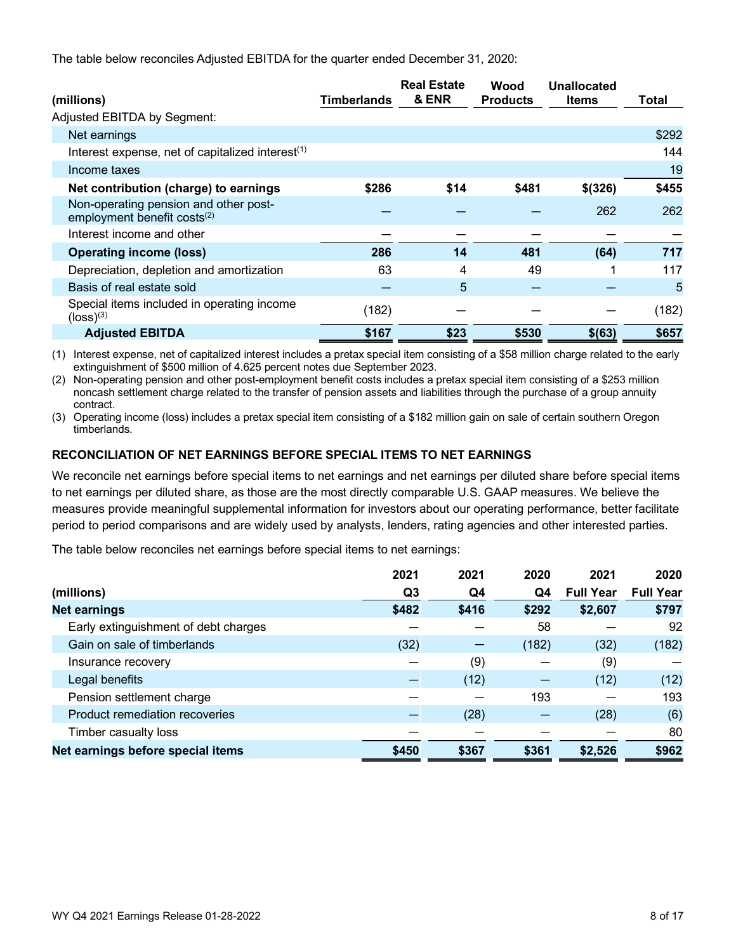The table below reconciles Adjusted EBITDA for the quarter ended December 31, 2020:

| (millions)                                                                       | Timberlands | <b>Real Estate</b><br>& ENR | Wood<br><b>Products</b> | Unallocated<br><b>Items</b> | Total |
|----------------------------------------------------------------------------------|-------------|-----------------------------|-------------------------|-----------------------------|-------|
| Adjusted EBITDA by Segment:                                                      |             |                             |                         |                             |       |
| Net earnings                                                                     |             |                             |                         |                             | \$292 |
| Interest expense, net of capitalized interest $(1)$                              |             |                             |                         |                             | 144   |
| Income taxes                                                                     |             |                             |                         |                             | 19    |
| Net contribution (charge) to earnings                                            | \$286       | \$14                        | \$481                   | \$ (326)                    | \$455 |
| Non-operating pension and other post-<br>employment benefit costs <sup>(2)</sup> |             |                             |                         | 262                         | 262   |
| Interest income and other                                                        |             |                             |                         |                             |       |
| <b>Operating income (loss)</b>                                                   | 286         | 14                          | 481                     | (64)                        | 717   |
| Depreciation, depletion and amortization                                         | 63          | 4                           | 49                      |                             | 117   |
| Basis of real estate sold                                                        |             | 5                           |                         |                             | 5     |
| Special items included in operating income<br>$(logs)$ <sup>(3)</sup>            | (182)       |                             |                         |                             | (182) |
| <b>Adjusted EBITDA</b>                                                           | \$167       | \$23                        | \$530                   | \$(63)                      | \$657 |

(1) Interest expense, net of capitalized interest includes a pretax special item consisting of a \$58 million charge related to the early extinguishment of \$500 million of 4.625 percent notes due September 2023.

(2) Non-operating pension and other post-employment benefit costs includes a pretax special item consisting of a \$253 million noncash settlement charge related to the transfer of pension assets and liabilities through the purchase of a group annuity contract.

(3) Operating income (loss) includes a pretax special item consisting of a \$182 million gain on sale of certain southern Oregon timberlands.

## **RECONCILIATION OF NET EARNINGS BEFORE SPECIAL ITEMS TO NET EARNINGS**

We reconcile net earnings before special items to net earnings and net earnings per diluted share before special items to net earnings per diluted share, as those are the most directly comparable U.S. GAAP measures. We believe the measures provide meaningful supplemental information for investors about our operating performance, better facilitate period to period comparisons and are widely used by analysts, lenders, rating agencies and other interested parties.

The table below reconciles net earnings before special items to net earnings:

|                                      | 2021  | 2021  | 2020  | 2021             | 2020             |
|--------------------------------------|-------|-------|-------|------------------|------------------|
| (millions)                           | Q3    | Q4    | Q4    | <b>Full Year</b> | <b>Full Year</b> |
| <b>Net earnings</b>                  | \$482 | \$416 | \$292 | \$2,607          | \$797            |
| Early extinguishment of debt charges |       |       | 58    |                  | 92               |
| Gain on sale of timberlands          | (32)  |       | (182) | (32)             | (182)            |
| Insurance recovery                   |       | (9)   |       | (9)              |                  |
| Legal benefits                       |       | (12)  |       | (12)             | (12)             |
| Pension settlement charge            |       |       | 193   |                  | 193              |
| Product remediation recoveries       |       | (28)  |       | (28)             | (6)              |
| Timber casualty loss                 |       |       |       |                  | 80               |
| Net earnings before special items    | \$450 | \$367 | \$361 | \$2,526          | \$962            |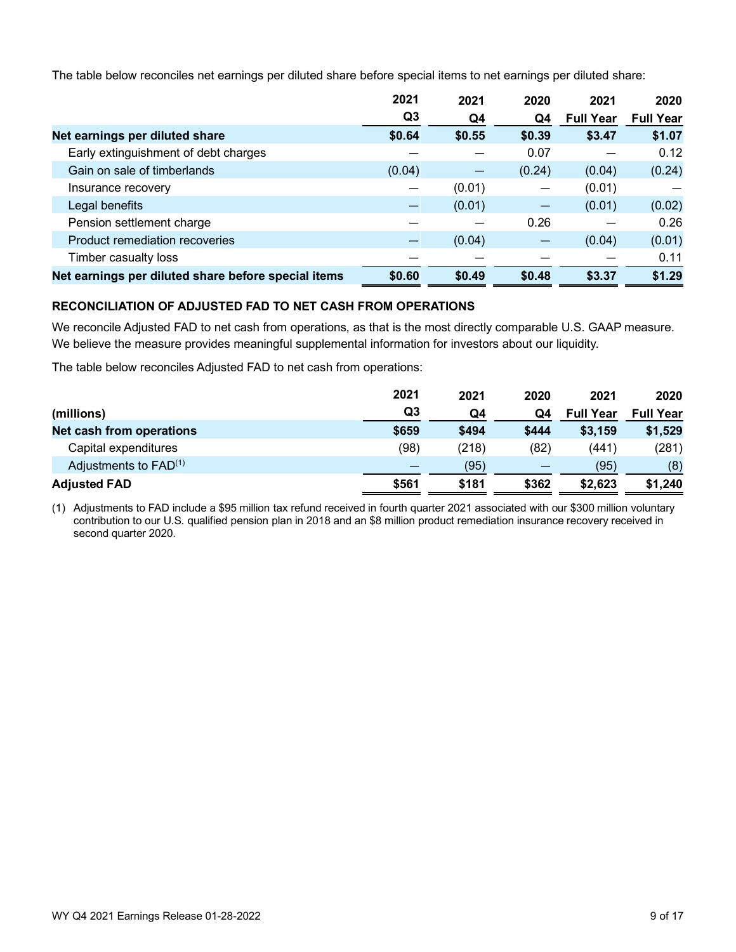The table below reconciles net earnings per diluted share before special items to net earnings per diluted share:

|                                                     | 2021   | 2021                     | 2020              | 2021             | 2020             |
|-----------------------------------------------------|--------|--------------------------|-------------------|------------------|------------------|
|                                                     | Q3     | Q4                       | Q4                | <b>Full Year</b> | <b>Full Year</b> |
| Net earnings per diluted share                      | \$0.64 | \$0.55                   | \$0.39            | \$3.47           | \$1.07           |
| Early extinguishment of debt charges                |        |                          | 0.07              |                  | 0.12             |
| Gain on sale of timberlands                         | (0.04) | $\overline{\phantom{m}}$ | (0.24)            | (0.04)           | (0.24)           |
| Insurance recovery                                  |        | (0.01)                   |                   | (0.01)           |                  |
| Legal benefits                                      |        | (0.01)                   | $\qquad \qquad -$ | (0.01)           | (0.02)           |
| Pension settlement charge                           |        |                          | 0.26              |                  | 0.26             |
| Product remediation recoveries                      |        | (0.04)                   |                   | (0.04)           | (0.01)           |
| Timber casualty loss                                |        |                          |                   |                  | 0.11             |
| Net earnings per diluted share before special items | \$0.60 | \$0.49                   | \$0.48            | \$3.37           | \$1.29           |

## **RECONCILIATION OF ADJUSTED FAD TO NET CASH FROM OPERATIONS**

We reconcile Adjusted FAD to net cash from operations, as that is the most directly comparable U.S. GAAP measure. We believe the measure provides meaningful supplemental information for investors about our liquidity.

The table below reconciles Adjusted FAD to net cash from operations:

|                                   | 2021           | 2021  | 2020  | 2021             | 2020             |
|-----------------------------------|----------------|-------|-------|------------------|------------------|
| (millions)                        | Q <sub>3</sub> | Q4    | Q4    | <b>Full Year</b> | <b>Full Year</b> |
| Net cash from operations          | \$659          | \$494 | \$444 | \$3,159          | \$1,529          |
| Capital expenditures              | (98)           | (218) | (82)  | (441)            | (281)            |
| Adjustments to FAD <sup>(1)</sup> |                | (95)  |       | (95)             | (8)              |
| <b>Adjusted FAD</b>               | \$561          | \$181 | \$362 | \$2,623          | \$1,240          |

(1) Adjustments to FAD include a \$95 million tax refund received in fourth quarter 2021 associated with our \$300 million voluntary contribution to our U.S. qualified pension plan in 2018 and an \$8 million product remediation insurance recovery received in second quarter 2020.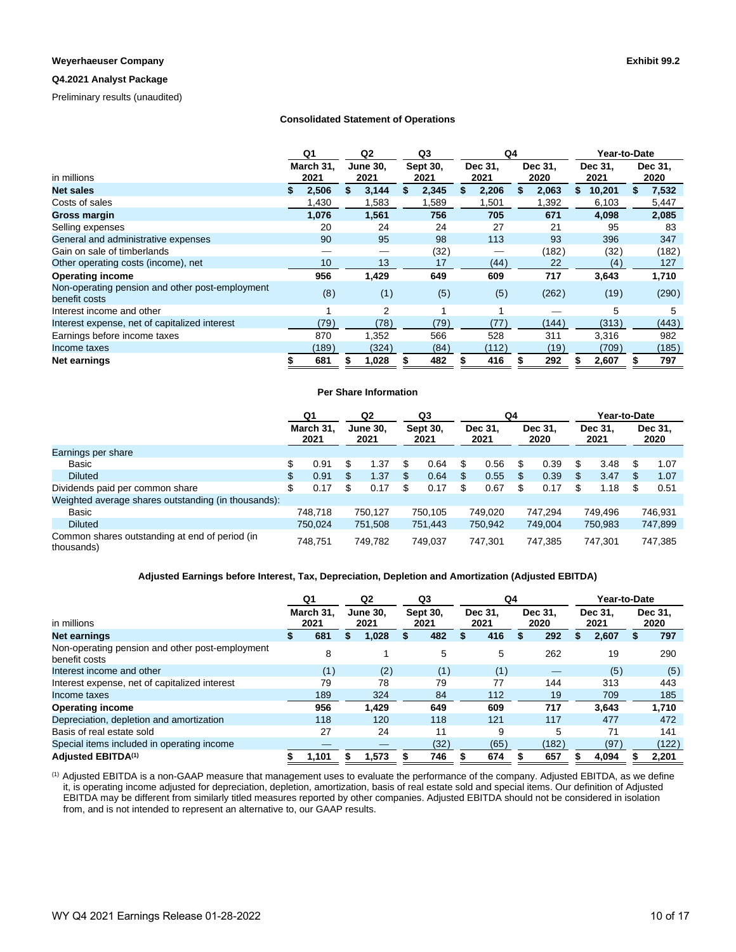## **Weyerhaeuser Company Exhibit 99.2**

#### **Q4.2021 Analyst Package**

Preliminary results (unaudited)

#### **Consolidated Statement of Operations**

|                                                                  | Q1                | Q2                      | Q3               | Q4              |                 |    | Year-to-Date    |                 |
|------------------------------------------------------------------|-------------------|-------------------------|------------------|-----------------|-----------------|----|-----------------|-----------------|
| in millions                                                      | March 31,<br>2021 | <b>June 30.</b><br>2021 | Sept 30,<br>2021 | Dec 31,<br>2021 | Dec 31,<br>2020 |    | Dec 31.<br>2021 | Dec 31.<br>2020 |
| <b>Net sales</b>                                                 | 2,506             | 3,144                   | 2,345            | 2,206           | 2,063           | S. | 10,201          | 7,532           |
| Costs of sales                                                   | 1,430             | 1,583                   | 1,589            | 1,501           | 1,392           |    | 6,103           | 5,447           |
| Gross margin                                                     | 1,076             | 1,561                   | 756              | 705             | 671             |    | 4,098           | 2,085           |
| Selling expenses                                                 | 20                | 24                      | 24               | 27              | 21              |    | 95              | 83              |
| General and administrative expenses                              | 90                | 95                      | 98               | 113             | 93              |    | 396             | 347             |
| Gain on sale of timberlands                                      |                   |                         | (32)             |                 | (182)           |    | (32)            | (182)           |
| Other operating costs (income), net                              | 10                | 13                      | 17               | (44)            | 22              |    | (4)             | 127             |
| <b>Operating income</b>                                          | 956               | 1,429                   | 649              | 609             | 717             |    | 3,643           | 1,710           |
| Non-operating pension and other post-employment<br>benefit costs | (8)               | (1)                     | (5)              | (5)             | (262)           |    | (19)            | (290)           |
| Interest income and other                                        |                   | 2                       |                  |                 |                 |    | 5               | 5               |
| Interest expense, net of capitalized interest                    | (79)              | (78)                    | (79)             | (77)            | (144)           |    | (313)           | (443)           |
| Earnings before income taxes                                     | 870               | 1,352                   | 566              | 528             | 311             |    | 3,316           | 982             |
| Income taxes                                                     | (189)             | (324)                   | (84)             | (112)           | (19)            |    | (709)           | (185)           |
| Net earnings                                                     | 681               | 1,028                   | 482              | 416             | 292             |    | 2,607           | 797             |

#### **Per Share Information**

|                                                              | Q1                |     | Q <sub>2</sub>          | Q3                      |    | Q4              |     |                 | Year-to-Date    |   |                 |
|--------------------------------------------------------------|-------------------|-----|-------------------------|-------------------------|----|-----------------|-----|-----------------|-----------------|---|-----------------|
|                                                              | March 31.<br>2021 |     | <b>June 30.</b><br>2021 | <b>Sept 30.</b><br>2021 |    | Dec 31.<br>2021 |     | Dec 31.<br>2020 | Dec 31.<br>2021 |   | Dec 31.<br>2020 |
| Earnings per share                                           | \$<br>0.91        |     |                         |                         |    |                 |     |                 |                 |   |                 |
| Basic                                                        | \$                |     | 1.37                    | \$<br>0.64              | S  | 0.56            | \$. | 0.39            | \$<br>3.48      | S | 1.07            |
| <b>Diluted</b>                                               | \$<br>0.91        | \$. | 1.37                    | \$<br>0.64              | \$ | 0.55            | \$. | 0.39            | \$<br>3.47      |   | 1.07            |
| Dividends paid per common share                              | \$<br>0.17        | S   | 0.17                    | \$<br>0.17              | S  | 0.67            | \$  | 0.17            | \$<br>1.18      | S | 0.51            |
| Weighted average shares outstanding (in thousands):          |                   |     |                         |                         |    |                 |     |                 |                 |   |                 |
| Basic                                                        | 748.718           |     | 750.127                 | 750.105                 |    | 749.020         |     | 747.294         | 749.496         |   | 746.931         |
| <b>Diluted</b>                                               | 750.024           |     | 751,508                 | 751,443                 |    | 750,942         |     | 749.004         | 750.983         |   | 747,899         |
| Common shares outstanding at end of period (in<br>thousands) | 748.751           |     | 749.782                 | 749.037                 |    | 747.301         |     | 747.385         | 747.301         |   | 747,385         |

#### **Adjusted Earnings before Interest, Tax, Depreciation, Depletion and Amortization (Adjusted EBITDA)**

|                                                                  | Q1                | Q2                      | Q3                      | Q4              |                 | Year-to-Date    |                 |
|------------------------------------------------------------------|-------------------|-------------------------|-------------------------|-----------------|-----------------|-----------------|-----------------|
| in millions                                                      | March 31.<br>2021 | <b>June 30.</b><br>2021 | <b>Sept 30.</b><br>2021 | Dec 31.<br>2021 | Dec 31.<br>2020 | Dec 31.<br>2021 | Dec 31.<br>2020 |
| Net earnings                                                     | 681               | 1,028                   | 482                     | 416             | 292             | 2,607           | 797             |
| Non-operating pension and other post-employment<br>benefit costs | 8                 |                         | 5                       | 5               | 262             | 19              | 290             |
| Interest income and other                                        | (1)               | (2)                     | (1)                     | (1)             |                 | (5)             | (5)             |
| Interest expense, net of capitalized interest                    | 79                | 78                      | 79                      | 77              | 144             | 313             | 443             |
| Income taxes                                                     | 189               | 324                     | 84                      | 112             | 19              | 709             | 185             |
| <b>Operating income</b>                                          | 956               | 1.429                   | 649                     | 609             | 717             | 3,643           | 1,710           |
| Depreciation, depletion and amortization                         | 118               | 120                     | 118                     | 121             | 117             | 477             | 472             |
| Basis of real estate sold                                        | 27                | 24                      | 11                      | 9               | 5               | 71              | 141             |
| Special items included in operating income                       |                   |                         | (32)                    | (65)            | (182)           | (97)            | (122)           |
| <b>Adiusted EBITDA(1)</b>                                        | 1.101             | 1.573                   | 746                     | 674             | 657             | 4.094           | 2.201           |

(1) Adjusted EBITDA is a non-GAAP measure that management uses to evaluate the performance of the company. Adjusted EBITDA, as we define it, is operating income adjusted for depreciation, depletion, amortization, basis of real estate sold and special items. Our definition of Adjusted EBITDA may be different from similarly titled measures reported by other companies. Adjusted EBITDA should not be considered in isolation from, and is not intended to represent an alternative to, our GAAP results.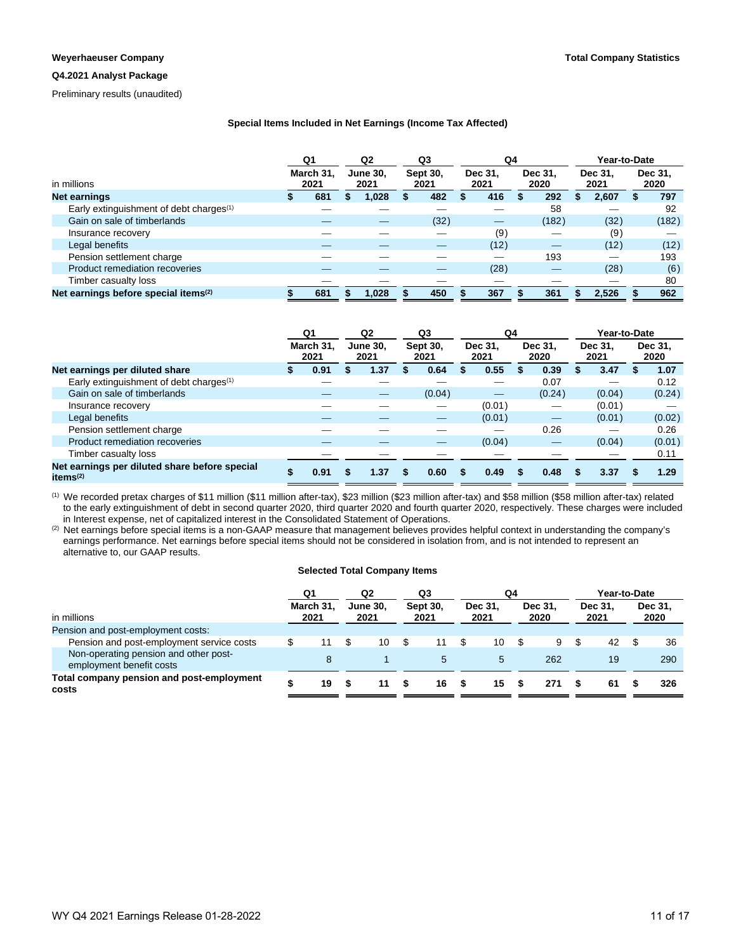#### **Q4.2021 Analyst Package**

Preliminary results (unaudited)

#### **Special Items Included in Net Earnings (Income Tax Affected)**

|                                                     | Q1                | Q2                      | Q3                      |                 | Q4   |                 | Year-to-Date    |                 |
|-----------------------------------------------------|-------------------|-------------------------|-------------------------|-----------------|------|-----------------|-----------------|-----------------|
| in millions                                         | March 31.<br>2021 | <b>June 30.</b><br>2021 | <b>Sept 30.</b><br>2021 | Dec 31.<br>2021 |      | Dec 31.<br>2020 | Dec 31.<br>2021 | Dec 31.<br>2020 |
| Net earnings                                        | 681               | .028                    | 482                     |                 | 416  | 292             | 2.607           | 797             |
| Early extinguishment of debt charges <sup>(1)</sup> |                   |                         |                         |                 |      | 58              |                 | 92              |
| Gain on sale of timberlands                         |                   | __                      | (32)                    |                 |      | (182)           | (32)            | (182)           |
| Insurance recovery                                  |                   |                         |                         |                 | (9)  |                 | (9)             |                 |
| Legal benefits                                      |                   |                         |                         |                 | (12) |                 | (12)            | (12)            |
| Pension settlement charge                           |                   |                         |                         |                 |      | 193             |                 | 193             |
| Product remediation recoveries                      |                   |                         |                         |                 | (28) |                 | (28)            | (6)             |
| Timber casualty loss                                |                   |                         |                         |                 |      |                 |                 | 80              |
| Net earnings before special items <sup>(2)</sup>    | 681               | 1,028                   | 450                     |                 | 367  | 361             | 2,526           | 962             |

|                                                              | Q1                | Q2                      | Q3               | Q4              |                 | Year-to-Date    |                 |
|--------------------------------------------------------------|-------------------|-------------------------|------------------|-----------------|-----------------|-----------------|-----------------|
|                                                              | March 31.<br>2021 | <b>June 30.</b><br>2021 | Sept 30,<br>2021 | Dec 31.<br>2021 | Dec 31.<br>2020 | Dec 31.<br>2021 | Dec 31.<br>2020 |
| Net earnings per diluted share                               | 0.91              | 1.37                    | 0.64             | 0.55            | 0.39            | 3.47            | 1.07            |
| Early extinguishment of debt charges <sup>(1)</sup>          |                   |                         |                  |                 | 0.07            |                 | 0.12            |
| Gain on sale of timberlands                                  |                   |                         | (0.04)           |                 | (0.24)          | (0.04)          | (0.24)          |
| Insurance recovery                                           |                   |                         |                  | (0.01)          |                 | (0.01)          |                 |
| Legal benefits                                               |                   |                         |                  | (0.01)          |                 | (0.01)          | (0.02)          |
| Pension settlement charge                                    |                   |                         |                  |                 | 0.26            |                 | 0.26            |
| Product remediation recoveries                               |                   |                         |                  | (0.04)          |                 | (0.04)          | (0.01)          |
| Timber casualty loss                                         |                   |                         |                  |                 |                 |                 | 0.11            |
| Net earnings per diluted share before special<br>items $(2)$ | 0.91              | 1.37                    | 0.60             | 0.49            | 0.48            | 3.37            | 1.29            |

(1) We recorded pretax charges of \$11 million (\$11 million after-tax), \$23 million (\$23 million after-tax) and \$58 million (\$58 million after-tax) related to the early extinguishment of debt in second quarter 2020, third quarter 2020 and fourth quarter 2020, respectively. These charges were included in Interest expense, net of capitalized interest in the Consolidated Statement of Operations.

(2) Net earnings before special items is a non-GAAP measure that management believes provides helpful context in understanding the company's earnings performance. Net earnings before special items should not be considered in isolation from, and is not intended to represent an alternative to, our GAAP results.

#### **Selected Total Company Items**

|                                                                   | Q1                |  | Q <sub>2</sub>          | Q3                      | Q4              |                 | Year-to-Date    |                 |
|-------------------------------------------------------------------|-------------------|--|-------------------------|-------------------------|-----------------|-----------------|-----------------|-----------------|
| in millions                                                       | March 31.<br>2021 |  | <b>June 30.</b><br>2021 | <b>Sept 30.</b><br>2021 | Dec 31.<br>2021 | Dec 31.<br>2020 | Dec 31.<br>2021 | Dec 31.<br>2020 |
| Pension and post-employment costs:                                |                   |  |                         |                         |                 |                 |                 |                 |
| Pension and post-employment service costs                         |                   |  | 10                      |                         | 10              | 9               | 42              | 36              |
| Non-operating pension and other post-<br>employment benefit costs | 8                 |  |                         | 5                       | 5               | 262             | 19              | 290             |
| Total company pension and post-employment<br>costs                | 19                |  |                         | 16                      | 15              | 271             | 61              | 326             |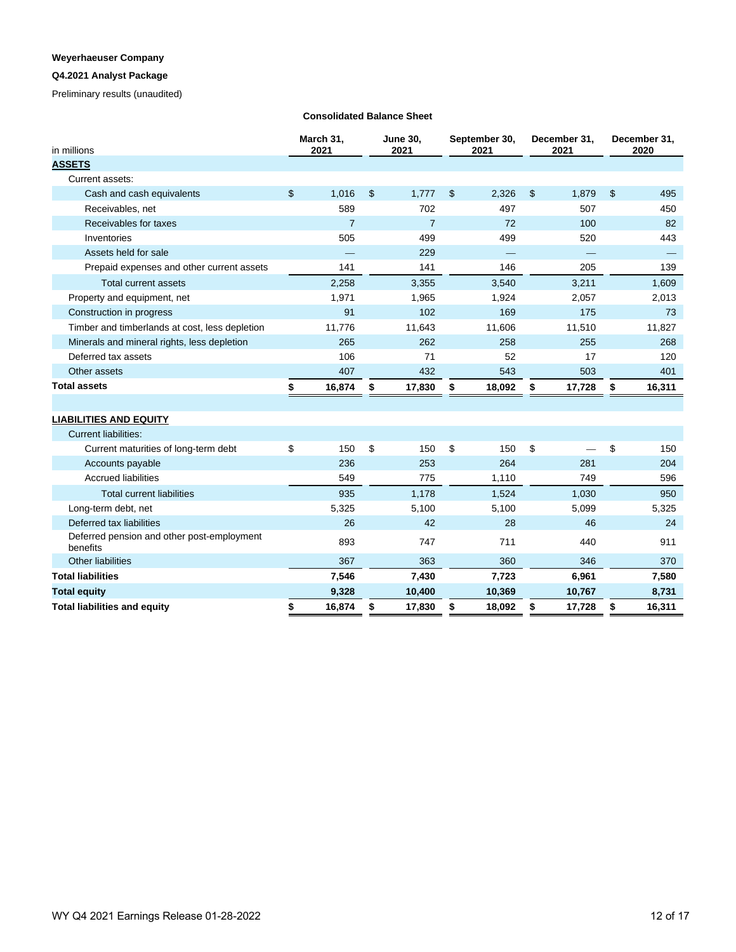## **Weyerhaeuser Company**

## **Q4.2021 Analyst Package**

Preliminary results (unaudited)

## **Consolidated Balance Sheet**

| in millions                                            | March 31,<br>2021 |                | <b>June 30,</b><br>2021 | September 30,<br>2021 | December 31,<br>2021 | December 31,<br>2020 |
|--------------------------------------------------------|-------------------|----------------|-------------------------|-----------------------|----------------------|----------------------|
| <b>ASSETS</b>                                          |                   |                |                         |                       |                      |                      |
| Current assets:                                        |                   |                |                         |                       |                      |                      |
| Cash and cash equivalents                              | \$<br>1,016       | $\mathfrak{S}$ | 1,777                   | \$<br>2,326           | \$<br>1,879          | \$<br>495            |
| Receivables, net                                       | 589               |                | 702                     | 497                   | 507                  | 450                  |
| Receivables for taxes                                  | $\overline{7}$    |                | $\overline{7}$          | 72                    | 100                  | 82                   |
| Inventories                                            | 505               |                | 499                     | 499                   | 520                  | 443                  |
| Assets held for sale                                   |                   |                | 229                     |                       |                      |                      |
| Prepaid expenses and other current assets              | 141               |                | 141                     | 146                   | 205                  | 139                  |
| Total current assets                                   | 2,258             |                | 3,355                   | 3,540                 | 3,211                | 1,609                |
| Property and equipment, net                            | 1,971             |                | 1,965                   | 1,924                 | 2,057                | 2,013                |
| Construction in progress                               | 91                |                | 102                     | 169                   | 175                  | 73                   |
| Timber and timberlands at cost, less depletion         | 11,776            |                | 11,643                  | 11,606                | 11,510               | 11,827               |
| Minerals and mineral rights, less depletion            | 265               |                | 262                     | 258                   | 255                  | 268                  |
| Deferred tax assets                                    | 106               |                | 71                      | 52                    | 17                   | 120                  |
| Other assets                                           | 407               |                | 432                     | 543                   | 503                  | 401                  |
| <b>Total assets</b>                                    | \$<br>16,874      | \$             | 17,830                  | \$<br>18,092          | \$<br>17,728         | \$<br>16,311         |
|                                                        |                   |                |                         |                       |                      |                      |
| <b>LIABILITIES AND EQUITY</b>                          |                   |                |                         |                       |                      |                      |
| <b>Current liabilities:</b>                            |                   |                |                         |                       |                      |                      |
| Current maturities of long-term debt                   | \$<br>150         | \$             | 150                     | \$<br>150             | \$                   | \$<br>150            |
| Accounts payable                                       | 236               |                | 253                     | 264                   | 281                  | 204                  |
| <b>Accrued liabilities</b>                             | 549               |                | 775                     | 1,110                 | 749                  | 596                  |
| <b>Total current liabilities</b>                       | 935               |                | 1,178                   | 1,524                 | 1,030                | 950                  |
| Long-term debt, net                                    | 5,325             |                | 5,100                   | 5,100                 | 5,099                | 5,325                |
| Deferred tax liabilities                               | 26                |                | 42                      | 28                    | 46                   | 24                   |
| Deferred pension and other post-employment<br>benefits | 893               |                | 747                     | 711                   | 440                  | 911                  |
| <b>Other liabilities</b>                               | 367               |                | 363                     | 360                   | 346                  | 370                  |
| <b>Total liabilities</b>                               | 7,546             |                | 7,430                   | 7,723                 | 6,961                | 7,580                |
| <b>Total equity</b>                                    | 9,328             |                | 10,400                  | 10,369                | 10,767               | 8,731                |
| <b>Total liabilities and equity</b>                    | \$<br>16,874      | \$             | 17,830                  | \$<br>18,092          | \$<br>17,728         | \$<br>16,311         |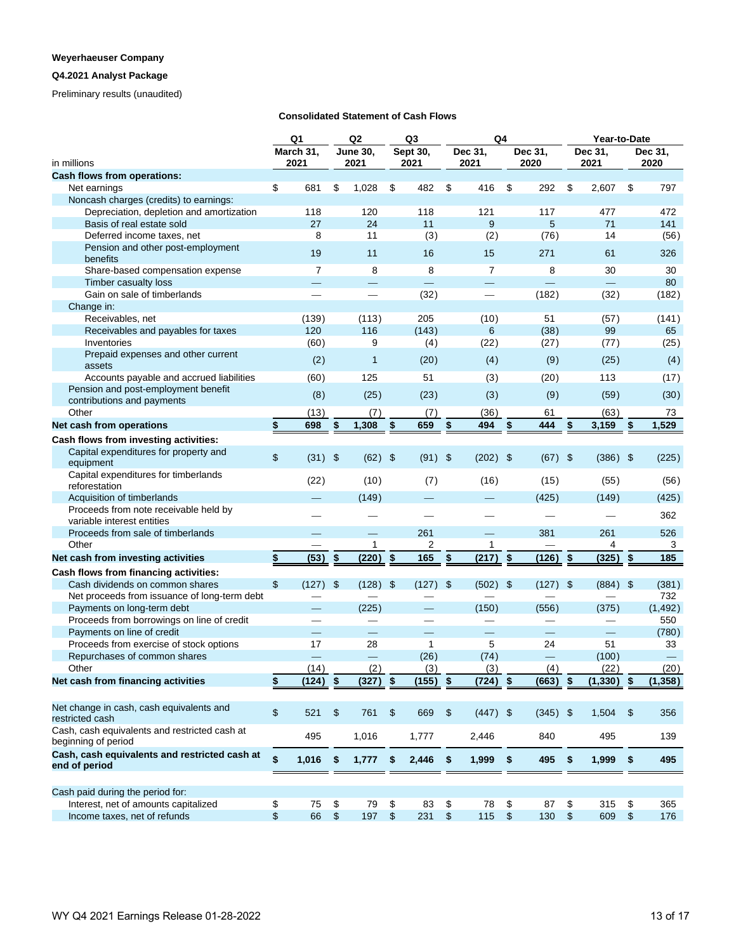## **Weyerhaeuser Company**

## **Q4.2021 Analyst Package**

Preliminary results (unaudited)

## **Consolidated Statement of Cash Flows**

|                                                                      | Q <sub>1</sub>           |      | Q <sub>2</sub>           |                   | Q <sub>3</sub>   |                            | Q4                       |               |                 |                         | Year-to-Date    |                           |                 |
|----------------------------------------------------------------------|--------------------------|------|--------------------------|-------------------|------------------|----------------------------|--------------------------|---------------|-----------------|-------------------------|-----------------|---------------------------|-----------------|
| in millions                                                          | March 31,<br>2021        |      | <b>June 30.</b><br>2021  |                   | Sept 30,<br>2021 |                            | Dec 31,<br>2021          |               | Dec 31,<br>2020 |                         | Dec 31,<br>2021 |                           | Dec 31,<br>2020 |
| Cash flows from operations:                                          |                          |      |                          |                   |                  |                            |                          |               |                 |                         |                 |                           |                 |
| Net earnings                                                         | \$<br>681                | \$   | 1,028                    | \$                | 482              | \$                         | 416                      | \$            | 292             | \$                      | 2,607           | \$                        | 797             |
| Noncash charges (credits) to earnings:                               |                          |      |                          |                   |                  |                            |                          |               |                 |                         |                 |                           |                 |
| Depreciation, depletion and amortization                             | 118                      |      | 120                      |                   | 118              |                            | 121                      |               | 117             |                         | 477             |                           | 472             |
| Basis of real estate sold                                            | 27                       |      | 24                       |                   | 11               |                            | 9                        |               | 5               |                         | 71              |                           | 141             |
| Deferred income taxes, net                                           | 8                        |      | 11                       |                   | (3)              |                            | (2)                      |               | (76)            |                         | 14              |                           | (56)            |
| Pension and other post-employment<br>benefits                        | 19                       |      | 11                       |                   | 16               |                            | 15                       |               | 271             |                         | 61              |                           | 326             |
| Share-based compensation expense                                     | $\overline{7}$           |      | 8                        |                   | 8                |                            | $\overline{7}$           |               | 8               |                         | 30              |                           | 30              |
| <b>Timber casualty loss</b>                                          |                          |      |                          |                   |                  |                            |                          |               |                 |                         |                 |                           | 80              |
| Gain on sale of timberlands                                          | $\overline{\phantom{0}}$ |      | $\overline{\phantom{0}}$ |                   | (32)             |                            | $\overline{\phantom{0}}$ |               | (182)           |                         | (32)            |                           | (182)           |
| Change in:                                                           |                          |      |                          |                   |                  |                            |                          |               |                 |                         |                 |                           |                 |
| Receivables, net                                                     | (139)                    |      | (113)                    |                   | 205              |                            | (10)                     |               | 51              |                         | (57)            |                           | (141)           |
| Receivables and payables for taxes                                   | 120                      |      | 116                      |                   | (143)            |                            | 6                        |               | (38)            |                         | 99              |                           | 65              |
| Inventories                                                          | (60)                     |      | 9                        |                   | (4)              |                            | (22)                     |               | (27)            |                         | (77)            |                           | (25)            |
| Prepaid expenses and other current<br>assets                         | (2)                      |      | 1                        |                   | (20)             |                            | (4)                      |               | (9)             |                         | (25)            |                           | (4)             |
| Accounts payable and accrued liabilities                             | (60)                     |      | 125                      |                   | 51               |                            | (3)                      |               | (20)            |                         | 113             |                           | (17)            |
| Pension and post-employment benefit<br>contributions and payments    | (8)                      |      | (25)                     |                   | (23)             |                            | (3)                      |               | (9)             |                         | (59)            |                           | (30)            |
| Other                                                                | (13)                     |      | (7)                      |                   | (7)              |                            | (36)                     |               | 61              |                         | (63)            |                           | 73              |
| Net cash from operations                                             | \$<br>698                | \$   | 1,308                    | \$                | 659              | \$                         | 494                      | \$            | 444             | \$                      | 3,159           | \$                        | 1,529           |
| Cash flows from investing activities:                                |                          |      |                          |                   |                  |                            |                          |               |                 |                         |                 |                           |                 |
| Capital expenditures for property and<br>equipment                   | \$<br>$(31)$ \$          |      | $(62)$ \$                |                   | $(91)$ \$        |                            | $(202)$ \$               |               | (67)            | \$                      | $(386)$ \$      |                           | (225)           |
| Capital expenditures for timberlands<br>reforestation                | (22)                     |      | (10)                     |                   | (7)              |                            | (16)                     |               | (15)            |                         | (55)            |                           | (56)            |
| Acquisition of timberlands                                           |                          |      | (149)                    |                   |                  |                            |                          |               | (425)           |                         | (149)           |                           | (425)           |
| Proceeds from note receivable held by<br>variable interest entities  |                          |      |                          |                   |                  |                            |                          |               |                 |                         |                 |                           | 362             |
| Proceeds from sale of timberlands                                    |                          |      |                          |                   | 261              |                            |                          |               | 381             |                         | 261             |                           | 526             |
| Other                                                                |                          |      | $\mathbf{1}$             |                   | 2                |                            | 1                        |               |                 |                         | 4               |                           | 3               |
| Net cash from investing activities                                   | \$<br>(53)               | \$   | (220)                    | $\frac{1}{2}$     | 165              | $\frac{1}{2}$              | (217)                    | $\frac{1}{2}$ | (126)           | \$                      | (325)           | $\overline{\mathbf{z}}$   | 185             |
| Cash flows from financing activities:                                |                          |      |                          |                   |                  |                            |                          |               |                 |                         |                 |                           |                 |
| Cash dividends on common shares                                      | \$<br>(127)              | - \$ | (128)                    | \$                | (127)            | $\boldsymbol{\mathsf{\$}}$ | (502)                    | \$            | (127)           | \$                      | $(884)$ \$      |                           | (381)           |
| Net proceeds from issuance of long-term debt                         |                          |      |                          |                   |                  |                            | $\overline{\phantom{0}}$ |               |                 |                         |                 |                           | 732             |
| Payments on long-term debt                                           | $\equiv$                 |      | (225)                    |                   |                  |                            | (150)                    |               | (556)           |                         | (375)           |                           | (1, 492)        |
| Proceeds from borrowings on line of credit                           | $\overline{\phantom{0}}$ |      |                          |                   |                  |                            |                          |               |                 |                         |                 |                           | 550             |
| Payments on line of credit                                           | 二                        |      |                          |                   |                  |                            |                          |               |                 |                         |                 |                           | (780)           |
| Proceeds from exercise of stock options                              | 17                       |      | 28                       |                   | $\mathbf{1}$     |                            | 5                        |               | 24              |                         | 51              |                           | 33              |
| Repurchases of common shares                                         | $\equiv$                 |      |                          |                   | (26)             |                            | (74)                     |               | $\equiv$        |                         | (100)           |                           |                 |
| Other                                                                | (14)                     |      | (2)                      |                   | (3)              |                            | (3)                      |               | (4)             |                         | (22)            |                           | (20)            |
| Net cash from financing activities                                   | \$<br>(124)              | \$   | (327)                    | \$                | (155)            | \$                         | $(724)$ \$               |               | (663)           | \$                      | (1, 330)        | $\frac{1}{2}$             | (1, 358)        |
|                                                                      |                          |      |                          |                   |                  |                            |                          |               |                 |                         |                 |                           |                 |
| Net change in cash, cash equivalents and<br>restricted cash          | \$<br>521                | \$   | 761                      | $\boldsymbol{\$}$ | 669              | \$                         | $(447)$ \$               |               | $(345)$ \$      |                         | 1,504           | \$                        | 356             |
| Cash, cash equivalents and restricted cash at<br>beginning of period | 495                      |      | 1,016                    |                   | 1,777            |                            | 2,446                    |               | 840             |                         | 495             |                           | 139             |
| Cash, cash equivalents and restricted cash at                        |                          |      | 1,777                    |                   |                  |                            |                          |               |                 |                         |                 |                           |                 |
| end of period                                                        | \$<br>1,016              | \$   |                          | \$                | 2,446            | \$                         | 1,999                    | \$            | 495             | \$                      | 1,999           | \$                        | 495             |
|                                                                      |                          |      |                          |                   |                  |                            |                          |               |                 |                         |                 |                           |                 |
| Cash paid during the period for:                                     |                          |      |                          |                   |                  |                            |                          |               |                 |                         |                 |                           |                 |
| Interest, net of amounts capitalized                                 | \$<br>75                 | \$   | 79                       | \$                | 83               | \$                         | 78                       | \$            | 87              | \$                      | 315             | \$                        | 365             |
| Income taxes, net of refunds                                         | \$<br>66                 | \$   | 197 \$                   |                   | 231              | $$\mathbb{S}$$             | 115 \$                   |               | 130             | $\sqrt[6]{\frac{1}{2}}$ | 609             | $\boldsymbol{\mathsf{S}}$ | 176             |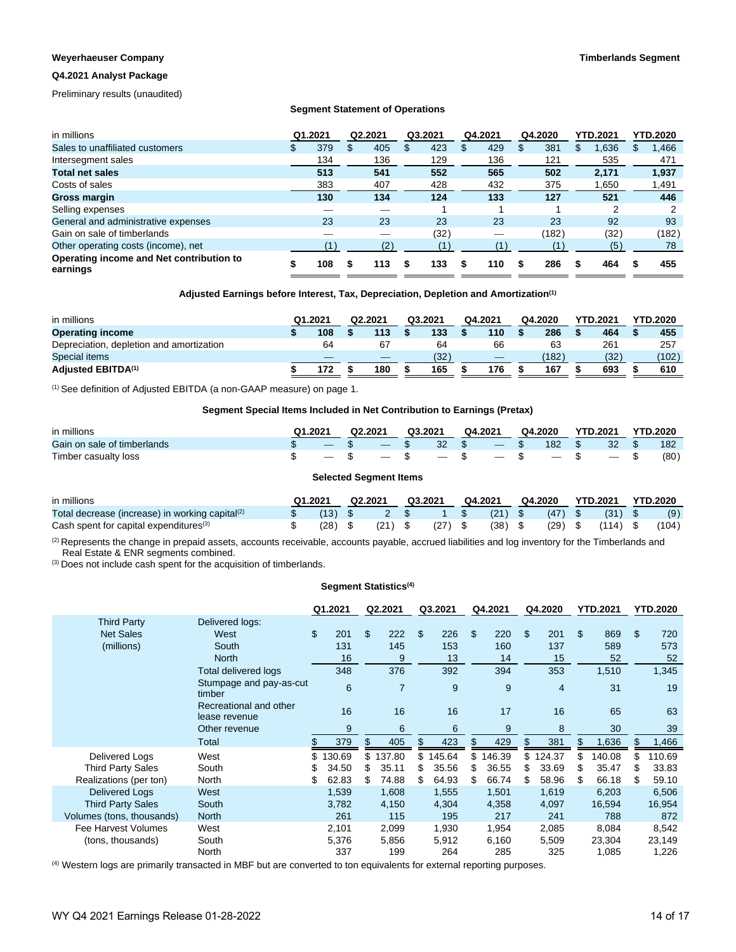#### **Weyerhaeuser Company Timberlands Segment**

## **Q4.2021 Analyst Package**

Preliminary results (unaudited)

#### **Segment Statement of Operations**

| in millions                                          | Q1.2021 | Q2.2021 | Q3.2021 | Q4.2021 |   | Q4.2020 |   | <b>YTD.2021</b> | YTD.2020 |
|------------------------------------------------------|---------|---------|---------|---------|---|---------|---|-----------------|----------|
| Sales to unaffiliated customers                      | 379     | 405     | 423     | 429     |   | 381     |   | 1,636           | 1,466    |
| Intersegment sales                                   | 134     | 136     | 129     | 136     |   | 121     |   | 535             | 471      |
| <b>Total net sales</b>                               | 513     | 541     | 552     | 565     |   | 502     |   | 2.171           | 1,937    |
| Costs of sales                                       | 383     | 407     | 428     | 432     |   | 375     |   | 1,650           | 1,491    |
| Gross margin                                         | 130     | 134     | 124     | 133     |   | 127     |   | 521             | 446      |
| Selling expenses                                     |         |         |         |         |   |         |   | っ               |          |
| General and administrative expenses                  | 23      | 23      | 23      | 23      |   | 23      |   | 92              | 93       |
| Gain on sale of timberlands                          |         |         | (32)    |         |   | (182)   |   | (32)            | (182)    |
| Other operating costs (income), net                  |         | (2)     |         |         |   | 11.     |   | (5)             | 78       |
| Operating income and Net contribution to<br>earnings | 108     | 113     | 133     | 110     | S | 286     | S | 464             | 455      |

**Adjusted Earnings before Interest, Tax, Depreciation, Depletion and Amortization(1)**

| in millions                              | Q1.2021 |     | Q2.2021 |     | Q3.2021 |      | Q4.2021 |     | Q4.2020 | <b>YTD.2021</b> | <b>YTD.2020</b> |
|------------------------------------------|---------|-----|---------|-----|---------|------|---------|-----|---------|-----------------|-----------------|
| <b>Operating income</b>                  |         | 108 |         | 113 |         | 133  |         | 110 | 286     | 464             | 455             |
| Depreciation, depletion and amortization |         | 64  |         | 67  |         | 64   |         | 66  | 63      | 261             | 257             |
| Special items                            |         |     |         |     |         | (32) |         |     | (182)   | (32)            | (102)           |
| <b>Adjusted EBITDA(1)</b>                |         | 172 |         | 180 |         | 165  |         | 176 | 167     | 693             | 610             |

(1) See definition of Adjusted EBITDA (a non-GAAP measure) on page 1.

**Segment Special Items Included in Net Contribution to Earnings (Pretax)**

| in millions                 | Q1.2021 | Q2.2021 | Q3.2021 |                                                                                                                                                                                          |  |  |  |  |
|-----------------------------|---------|---------|---------|------------------------------------------------------------------------------------------------------------------------------------------------------------------------------------------|--|--|--|--|
| Gain on sale of timberlands |         |         |         | $\texttt{S}$ $-$ \$ $-$ \$ 32 \$ $-$ \$ 182 \$ 32 \$ 182                                                                                                                                 |  |  |  |  |
| Timber casualty loss        |         |         |         | $\texttt{\$} \quad - \texttt{\$} \quad - \texttt{\$} \quad - \texttt{\$} \quad - \texttt{\$} \quad - \texttt{\$} \quad - \texttt{\$} \quad - \texttt{\$} \quad - \texttt{\$} \quad (80)$ |  |  |  |  |

#### **Selected Segment Items**

| in millions                                                 | Q1.2021 | Q2.2021 | Q3.2021 | Q4.2021 | Q4.2020 YTD.2021 |  |                                                                      | <b>YTD.2020</b> |
|-------------------------------------------------------------|---------|---------|---------|---------|------------------|--|----------------------------------------------------------------------|-----------------|
| Total decrease (increase) in working capital <sup>(2)</sup> |         |         |         |         |                  |  | $(13)$ \$ 2 \$ 1 \$ (21) \$ (47) \$ (31) \$                          | (9)             |
| Cash spent for capital expenditures <sup>(3)</sup>          |         |         |         |         |                  |  | $(28)$ \$ $(21)$ \$ $(27)$ \$ $(38)$ \$ $(29)$ \$ $(114)$ \$ $(104)$ |                 |

(2) Represents the change in prepaid assets, accounts receivable, accounts payable, accrued liabilities and log inventory for the Timberlands and Real Estate & ENR segments combined.

(3) Does not include cash spent for the acquisition of timberlands.

#### **Segment Statistics(4)**

|                           |                                         |     | Q1.2021         | Q2.2021        |                | Q3.2021 |                | Q4.2021 | Q4.2020        |                | <b>YTD.2021</b> |     | <b>YTD.2020</b> |
|---------------------------|-----------------------------------------|-----|-----------------|----------------|----------------|---------|----------------|---------|----------------|----------------|-----------------|-----|-----------------|
| <b>Third Party</b>        | Delivered logs:                         |     |                 |                |                |         |                |         |                |                |                 |     |                 |
| <b>Net Sales</b>          | West                                    | \$  | 201             | \$<br>222      | $\mathfrak{L}$ | 226     | $\mathfrak{L}$ | 220     | \$<br>201      | $\mathfrak{L}$ | 869             | \$  | 720             |
| (millions)                | South                                   |     | 131             | 145            |                | 153     |                | 160     | 137            |                | 589             |     | 573             |
|                           | <b>North</b>                            |     | 16              | 9              |                | 13      |                | 14      | 15             |                | 52              |     | 52              |
|                           | Total delivered logs                    |     | 348             | 376            |                | 392     |                | 394     | 353            |                | 1,510           |     | 1,345           |
|                           | Stumpage and pay-as-cut<br>timber       |     | $6\phantom{1}6$ | $\overline{7}$ |                | 9       |                | 9       | $\overline{4}$ |                | 31              |     | 19              |
|                           | Recreational and other<br>lease revenue |     | 16              | 16             |                | 16      |                | 17      | 16             |                | 65              |     | 63              |
|                           | Other revenue                           |     | 9               | 6              |                | 6       |                | 9       | 8              |                | 30              |     | 39              |
|                           | Total                                   |     | 379             | \$<br>405      |                | 423     | \$.            | 429     | \$<br>381      | \$.            | 1,636           | \$. | 1,466           |
| Delivered Logs            | West                                    | \$. | 130.69          | \$<br>137.80   |                | 145.64  | \$             | 146.39  | \$<br>124.37   |                | 140.08          | \$  | 110.69          |
| <b>Third Party Sales</b>  | South                                   | \$  | 34.50           | \$<br>35.11    |                | 35.56   | \$             | 36.55   | \$<br>33.69    |                | 35.47           | \$  | 33.83           |
| Realizations (per ton)    | North                                   | \$  | 62.83           | \$<br>74.88    | S              | 64.93   | \$.            | 66.74   | \$<br>58.96    | \$.            | 66.18           | S   | 59.10           |
| Delivered Logs            | West                                    |     | 1,539           | 1,608          |                | 1,555   |                | 1,501   | 1,619          |                | 6,203           |     | 6,506           |
| <b>Third Party Sales</b>  | South                                   |     | 3,782           | 4,150          |                | 4,304   |                | 4,358   | 4,097          |                | 16,594          |     | 16,954          |
| Volumes (tons, thousands) | <b>North</b>                            |     | 261             | 115            |                | 195     |                | 217     | 241            |                | 788             |     | 872             |
| Fee Harvest Volumes       | West                                    |     | 2,101           | 2,099          |                | 1,930   |                | 1,954   | 2,085          |                | 8,084           |     | 8,542           |
| (tons, thousands)         | South                                   |     | 5,376           | 5,856          |                | 5,912   |                | 6,160   | 5,509          |                | 23,304          |     | 23,149          |
|                           | North                                   |     | 337             | 199            |                | 264     |                | 285     | 325            |                | 1,085           |     | 1,226           |

(4) Western logs are primarily transacted in MBF but are converted to ton equivalents for external reporting purposes.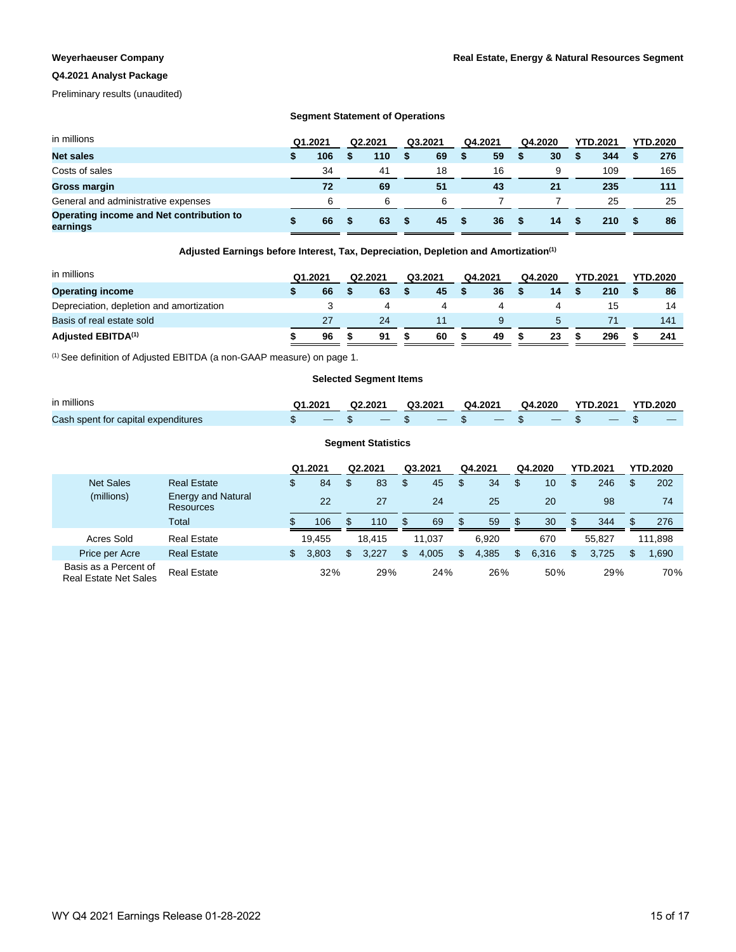#### **Q4.2021 Analyst Package**

Preliminary results (unaudited)

#### **Segment Statement of Operations**

| in millions                                          | Q1.2021 | Q2.2021 | Q3.2021 | Q4.2021 | Q4.2020 | <b>YTD.2021</b> | <b>YTD.2020</b> |
|------------------------------------------------------|---------|---------|---------|---------|---------|-----------------|-----------------|
| <b>Net sales</b>                                     | 106     | 110     | 69      | 59      | 30      | 344             | 276             |
| Costs of sales                                       | 34      | 41      | 18      | 16      | 9       | 109             | 165             |
| Gross margin                                         | 72      | 69      | 51      | 43      | 21      | 235             | 111             |
| General and administrative expenses                  | 6       | 6       | 6       |         |         | 25              | 25              |
| Operating income and Net contribution to<br>earnings | 66      | 63      | 45      | 36      | 14      | 210             | 86              |

**Adjusted Earnings before Interest, Tax, Depreciation, Depletion and Amortization(1)**

| in millions                              | Q1.2021 |    | Q2.2021 |    | Q3.2021 |    | Q4.2021 |    | Q4.2020 |    | <b>YTD.2021</b> | <b>YTD.2020</b> |
|------------------------------------------|---------|----|---------|----|---------|----|---------|----|---------|----|-----------------|-----------------|
| <b>Operating income</b>                  |         | 66 |         | 63 |         | 45 |         | 36 |         | 14 | 210             | 86              |
| Depreciation, depletion and amortization |         |    |         |    |         |    |         |    |         | 4  |                 | 14              |
| Basis of real estate sold                |         | 27 |         | 24 |         |    |         | 9  |         | 5  |                 | 141             |
| <b>Adjusted EBITDA(1)</b>                |         | 96 |         | 91 |         | 60 |         | 49 |         | 23 | 296             | 241             |

(1) See definition of Adjusted EBITDA (a non-GAAP measure) on page 1.

#### **Selected Segment Items**

| in millions                                                                    |  |  |  |  |  | Q1.2021  Q2.2021  Q3.2021  Q4.2021  Q4.2020  YTD.2021  YTD.2020 |  |  |
|--------------------------------------------------------------------------------|--|--|--|--|--|-----------------------------------------------------------------|--|--|
| - \$ - \$ - \$ - \$ - \$ - \$ - \$ - \$<br>Cash spent for capital expenditures |  |  |  |  |  |                                                                 |  |  |

### **Segment Statistics**

|                                                       |                                               |    | Q1.2021 |     | Q2.2021 |     | Q3.2021 |               | Q4.2021 |    | Q4.2020 |     | <b>YTD.2021</b> |   | <b>YTD.2020</b> |
|-------------------------------------------------------|-----------------------------------------------|----|---------|-----|---------|-----|---------|---------------|---------|----|---------|-----|-----------------|---|-----------------|
| <b>Net Sales</b>                                      | <b>Real Estate</b>                            | \$ | 84      | ъ   | 83      | \$  | 45      | <sup>\$</sup> | 34      | S  | 10      | \$  | 246             | S | 202             |
| (millions)                                            | <b>Energy and Natural</b><br><b>Resources</b> |    | 22      |     | 27      |     | 24      |               | 25      |    | 20      |     | 98              |   | 74              |
|                                                       | <b>Total</b>                                  | S  | 106     | \$  | 110     | \$  | 69      | \$            | 59      |    | 30      | \$  | 344             | S | 276             |
| Acres Sold                                            | <b>Real Estate</b>                            |    | 19.455  |     | 18.415  |     | 11.037  |               | 6.920   |    | 670     |     | 55.827          |   | 111,898         |
| Price per Acre                                        | <b>Real Estate</b>                            | \$ | 3.803   | \$. | 3.227   | \$. | 4.005   | \$.           | 4.385   | \$ | 6.316   | \$. | 3.725           | S | 1,690           |
| Basis as a Percent of<br><b>Real Estate Net Sales</b> | <b>Real Estate</b>                            |    | 32%     |     | 29%     |     | 24%     |               | 26%     |    | 50%     |     | 29%             |   | 70%             |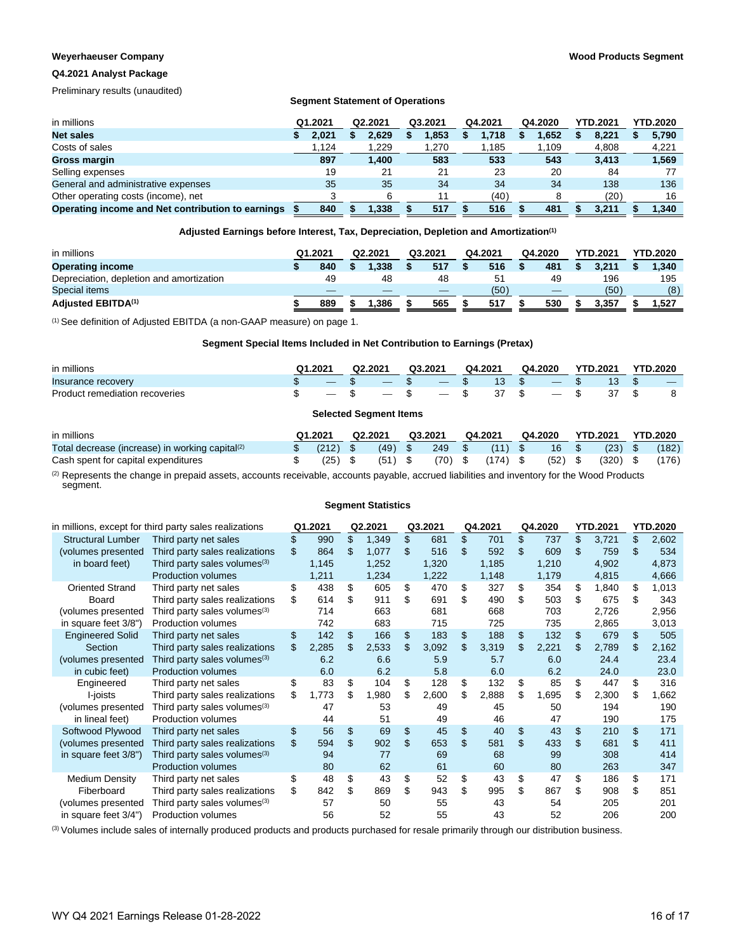#### **Weyerhaeuser Company Wood Products Segment**

#### **Q4.2021 Analyst Package**

Preliminary results (unaudited)

#### **Segment Statement of Operations**

| in millions                                       | Q1.2021 | Q2.2021 | Q3.2021 | Q4.2021 | Q4.2020 | <b>YTD.2021</b> | <b>YTD.2020</b> |
|---------------------------------------------------|---------|---------|---------|---------|---------|-----------------|-----------------|
| <b>Net sales</b>                                  | 2.021   | 2.629   | .853    | 1.718   | .652    | 8.221           | 5.790           |
| Costs of sales                                    | 1,124   | 1,229   | .270    | 1,185   | 1,109   | 4,808           | 4,221           |
| Gross margin                                      | 897     | 1.400   | 583     | 533     | 543     | 3.413           | 1,569           |
| Selling expenses                                  | 19      | 21      | 21      | 23      | 20      | 84              |                 |
| General and administrative expenses               | 35      | 35      | 34      | 34      | 34      | 138             | 136             |
| Other operating costs (income), net               |         |         | 11      | (40)    |         | (20)            | 16              |
| Operating income and Net contribution to earnings | 840     | .338    | 517     | 516     | 481     | 3.211           | 1.340           |

**Adjusted Earnings before Interest, Tax, Depreciation, Depletion and Amortization(1)**

| in millions                              | Q1.2021 |     | Q2.2021 | Q3.2021 | Q4.2021 | Q4.2020 | <b>YTD.2021</b> | <b>YTD.2020</b> |
|------------------------------------------|---------|-----|---------|---------|---------|---------|-----------------|-----------------|
| <b>Operating income</b>                  |         | 840 | .338    | 517     | 516     | 481     | 3.211           | 1.340           |
| Depreciation, depletion and amortization |         | 49  | 48      | 48      | 51      | 49      | 196             | 195             |
| Special items                            |         |     |         |         | (50)    |         | (50)            | (8)             |
| <b>Adjusted EBITDA(1)</b>                |         | 889 | .386    | 565     | 517     | 530     | 3.357           | 1.527           |

(1) See definition of Adjusted EBITDA (a non-GAAP measure) on page 1.

#### **Segment Special Items Included in Net Contribution to Earnings (Pretax)**

| in millions                    | Q1.2021 | Q2.2021 | Q3.2021 | Q4.2021 | Q4.2020 | <b>YTD.2021</b>                             | <b>YTD.2020</b> |  |
|--------------------------------|---------|---------|---------|---------|---------|---------------------------------------------|-----------------|--|
| Insurance recovery             |         |         |         |         |         | $-$ \$ $-$ \$ $-$ \$ 13 \$ $-$ \$ 13 \$ $-$ |                 |  |
| Product remediation recoveries |         |         |         |         |         | $-$ \$ $-$ \$ $-$ \$ 37 \$ $-$ \$ 37 \$     |                 |  |

#### **Selected Segment Items**

| in millions                                                 | Q1.2021     | Q2.2021 |  | Q3.2021 | Q4.2021                                                     | Q4.2020 | <b>YTD.2021</b> | <b>YTD.2020</b> |
|-------------------------------------------------------------|-------------|---------|--|---------|-------------------------------------------------------------|---------|-----------------|-----------------|
| Total decrease (increase) in working capital <sup>(2)</sup> | \$ (212) \$ |         |  |         | (49) \$ 249 \$ (11) \$ 16 \$                                |         | $(23)$ \$       | (182)           |
| Cash spent for capital expenditures                         | $(25)$ \$   |         |  |         | $(51)$ \$ $(70)$ \$ $(174)$ \$ $(52)$ \$ $(320)$ \$ $(176)$ |         |                 |                 |
| $\sim$                                                      |             |         |  |         |                                                             |         |                 |                 |

(2) Represents the change in prepaid assets, accounts receivable, accounts payable, accrued liabilities and inventory for the Wood Products segment.

#### **Segment Statistics**

|                          | in millions, except for third party sales realizations |     | Q1.2021 |                | Q2.2021 |     | Q3.2021 |     | Q4.2021 |                | Q4.2020 |     | <b>YTD.2021</b> | <b>YTD.2020</b> |
|--------------------------|--------------------------------------------------------|-----|---------|----------------|---------|-----|---------|-----|---------|----------------|---------|-----|-----------------|-----------------|
| <b>Structural Lumber</b> | Third party net sales                                  |     | 990     | \$             | 1,349   | \$  | 681     | \$  | 701     | \$             | 737     | \$  | 3,721           | \$<br>2,602     |
| (volumes presented       | Third party sales realizations                         | \$  | 864     | \$             | 1,077   | \$  | 516     | \$  | 592     | \$             | 609     | \$. | 759             | \$<br>534       |
| in board feet)           | Third party sales volumes <sup>(3)</sup>               |     | 1,145   |                | 1,252   |     | 1,320   |     | 1,185   |                | 1,210   |     | 4,902           | 4,873           |
|                          | <b>Production volumes</b>                              |     | 1,211   |                | 1,234   |     | 1,222   |     | 1,148   |                | 1,179   |     | 4,815           | 4,666           |
| <b>Oriented Strand</b>   | Third party net sales                                  | \$  | 438     | S              | 605     | \$  | 470     | \$  | 327     | \$             | 354     | S   | 1,840           | \$<br>1,013     |
| Board                    | Third party sales realizations                         |     | 614     | \$.            | 911     | \$  | 691     | \$  | 490     | \$             | 503     | \$. | 675             | \$<br>343       |
| (volumes presented       | Third party sales volumes <sup>(3)</sup>               |     | 714     |                | 663     |     | 681     |     | 668     |                | 703     |     | 2,726           | 2,956           |
| in square feet 3/8")     | <b>Production volumes</b>                              |     | 742     |                | 683     |     | 715     |     | 725     |                | 735     |     | 2,865           | 3,013           |
| <b>Engineered Solid</b>  | Third party net sales                                  | \$  | 142     | \$             | 166     | \$  | 183     | \$  | 188     | \$             | 132     | \$  | 679             | \$<br>505       |
| Section                  | Third party sales realizations                         | \$. | 2,285   | \$             | 2,533   | \$  | 3,092   | \$  | 3,319   | \$.            | 2,221   | \$. | 2,789           | \$<br>2,162     |
| (volumes presented       | Third party sales volumes <sup>(3)</sup>               |     | 6.2     |                | 6.6     |     | 5.9     |     | 5.7     |                | 6.0     |     | 24.4            | 23.4            |
| in cubic feet)           | <b>Production volumes</b>                              |     | 6.0     |                | 6.2     |     | 5.8     |     | 6.0     |                | 6.2     |     | 24.0            | 23.0            |
| Engineered               | Third party net sales                                  | \$  | 83      | \$             | 104     | \$  | 128     | \$  | 132     | \$             | 85      | \$  | 447             | \$<br>316       |
| I-joists                 | Third party sales realizations                         | \$  | 1,773   | \$             | 1,980   | \$  | 2,600   | \$  | 2,888   | \$             | 1,695   | \$  | 2,300           | \$<br>1,662     |
| (volumes presented       | Third party sales volumes <sup>(3)</sup>               |     | 47      |                | 53      |     | 49      |     | 45      |                | 50      |     | 194             | 190             |
| in lineal feet)          | <b>Production volumes</b>                              |     | 44      |                | 51      |     | 49      |     | 46      |                | 47      |     | 190             | 175             |
| Softwood Plywood         | Third party net sales                                  | \$  | 56      | \$             | 69      | \$  | 45      | \$  | 40      | $\mathfrak{L}$ | 43      | \$  | 210             | \$<br>171       |
| (volumes presented       | Third party sales realizations                         | \$  | 594     | $\mathfrak{L}$ | 902     | \$. | 653     | \$. | 581     | \$             | 433     | \$  | 681             | \$<br>411       |
| in square feet 3/8")     | Third party sales volumes <sup>(3)</sup>               |     | 94      |                | 77      |     | 69      |     | 68      |                | 99      |     | 308             | 414             |
|                          | <b>Production volumes</b>                              |     | 80      |                | 62      |     | 61      |     | 60      |                | 80      |     | 263             | 347             |
| <b>Medium Density</b>    | Third party net sales                                  | \$  | 48      | \$             | 43      | \$  | 52      | \$  | 43      | \$             | 47      | \$  | 186             | \$<br>171       |
| Fiberboard               | Third party sales realizations                         | \$  | 842     | \$             | 869     | \$  | 943     | \$  | 995     | \$             | 867     | \$  | 908             | \$<br>851       |
| (volumes presented       | Third party sales volumes <sup>(3)</sup>               |     | 57      |                | 50      |     | 55      |     | 43      |                | 54      |     | 205             | 201             |
| in square feet 3/4")     | Production volumes                                     |     | 56      |                | 52      |     | 55      |     | 43      |                | 52      |     | 206             | 200             |

(3) Volumes include sales of internally produced products and products purchased for resale primarily through our distribution business.